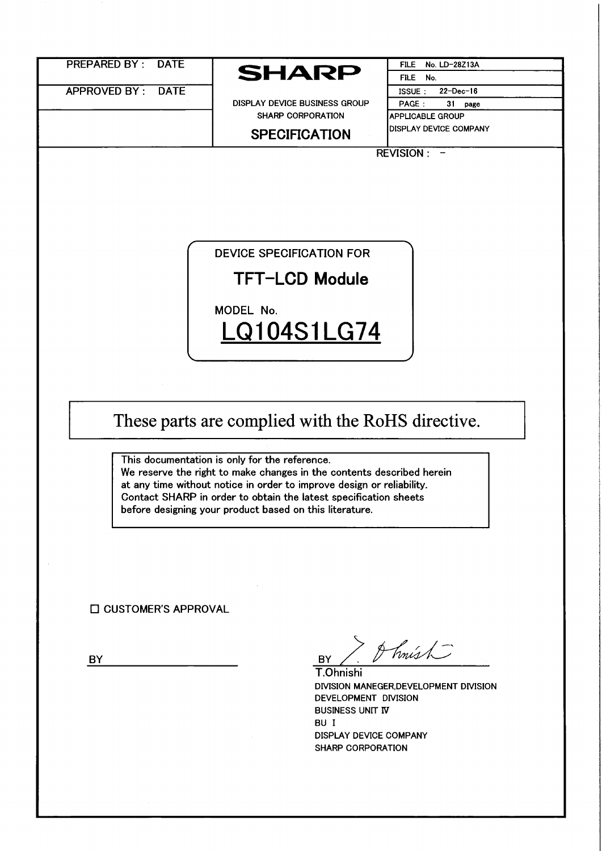|    | <b>PREPARED BY: DATE</b>    |                                                                                                                                                                                                                                                                                                                                                                                                                                                                             | <b>FILE</b><br>No. LD-28Z13A                       |
|----|-----------------------------|-----------------------------------------------------------------------------------------------------------------------------------------------------------------------------------------------------------------------------------------------------------------------------------------------------------------------------------------------------------------------------------------------------------------------------------------------------------------------------|----------------------------------------------------|
|    |                             | <b>SHARP</b>                                                                                                                                                                                                                                                                                                                                                                                                                                                                | FILE No.                                           |
|    | APPROVED BY:<br><b>DATE</b> |                                                                                                                                                                                                                                                                                                                                                                                                                                                                             | $22 - Dec - 16$<br><b>ISSUE:</b>                   |
|    |                             | DISPLAY DEVICE BUSINESS GROUP                                                                                                                                                                                                                                                                                                                                                                                                                                               | PAGE:<br>31<br>page                                |
|    |                             | SHARP CORPORATION                                                                                                                                                                                                                                                                                                                                                                                                                                                           | APPLICABLE GROUP                                   |
|    |                             | <b>SPECIFICATION</b>                                                                                                                                                                                                                                                                                                                                                                                                                                                        | <b>DISPLAY DEVICE COMPANY</b>                      |
|    |                             |                                                                                                                                                                                                                                                                                                                                                                                                                                                                             | REVISION : -                                       |
|    |                             |                                                                                                                                                                                                                                                                                                                                                                                                                                                                             |                                                    |
|    | □ CUSTOMER'S APPROVAL       | <b>DEVICE SPECIFICATION FOR</b><br><b>TFT-LCD Module</b><br>MODEL No.<br>LQ104S1LG74<br>These parts are complied with the RoHS directive.<br>This documentation is only for the reference.<br>We reserve the right to make changes in the contents described herein<br>at any time without notice in order to improve design or reliability.<br>Contact SHARP in order to obtain the latest specification sheets<br>before designing your product based on this literature. |                                                    |
|    |                             | <b>BY</b>                                                                                                                                                                                                                                                                                                                                                                                                                                                                   | A hnísh                                            |
|    |                             | T.Ohnishi                                                                                                                                                                                                                                                                                                                                                                                                                                                                   |                                                    |
| BY |                             |                                                                                                                                                                                                                                                                                                                                                                                                                                                                             | DIVISION MANEGER, DEVELOPMENT DIVISION             |
|    |                             |                                                                                                                                                                                                                                                                                                                                                                                                                                                                             |                                                    |
|    |                             |                                                                                                                                                                                                                                                                                                                                                                                                                                                                             | DEVELOPMENT DIVISION                               |
|    |                             |                                                                                                                                                                                                                                                                                                                                                                                                                                                                             |                                                    |
|    |                             | <b>BUSINESS UNIT IV</b><br>BU I                                                                                                                                                                                                                                                                                                                                                                                                                                             |                                                    |
|    |                             |                                                                                                                                                                                                                                                                                                                                                                                                                                                                             |                                                    |
|    |                             |                                                                                                                                                                                                                                                                                                                                                                                                                                                                             | DISPLAY DEVICE COMPANY<br><b>SHARP CORPORATION</b> |
|    |                             |                                                                                                                                                                                                                                                                                                                                                                                                                                                                             |                                                    |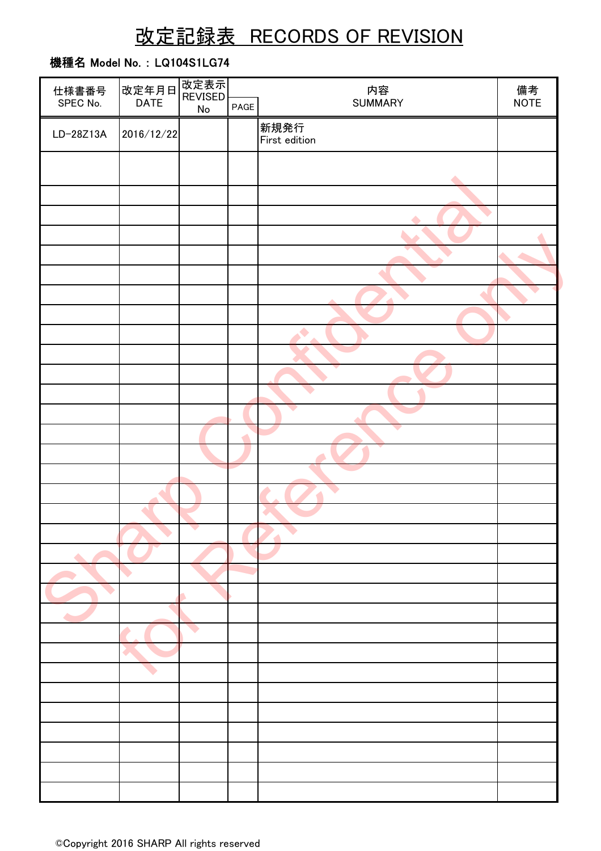# 改定記録表 RECORDS OF REVISION

### 機種名 Model No. : LQ104S1LG74

| 仕様書番号     | 改定年月日       | 改定表示                  |      |                  |            |
|-----------|-------------|-----------------------|------|------------------|------------|
| SPEC No.  | <b>DATE</b> | REVISED<br>${\sf No}$ | PAGE | 内容<br>SUMMARY    | 備考<br>NOTE |
|           |             |                       |      | 新規発行             |            |
| LD-28Z13A | 2016/12/22  |                       |      | First edition    |            |
|           |             |                       |      |                  |            |
|           |             |                       |      |                  |            |
|           |             |                       |      | $\blacktriangle$ |            |
|           |             |                       |      |                  |            |
|           |             |                       |      | ▲                |            |
|           |             |                       |      |                  |            |
|           |             |                       |      |                  |            |
|           |             |                       |      |                  |            |
|           |             |                       |      |                  |            |
|           |             |                       |      | ◢                |            |
|           |             |                       |      |                  |            |
|           |             |                       |      | $\blacklozenge$  |            |
|           |             |                       |      |                  |            |
|           |             |                       |      |                  |            |
|           |             |                       |      |                  |            |
|           |             |                       |      |                  |            |
|           |             |                       |      |                  |            |
|           |             |                       |      | ▼                |            |
|           |             |                       |      |                  |            |
|           |             |                       |      |                  |            |
|           |             |                       |      |                  |            |
|           |             |                       |      |                  |            |
|           |             |                       |      |                  |            |
|           |             |                       |      |                  |            |
|           |             |                       |      |                  |            |
|           |             |                       |      |                  |            |
|           |             |                       |      |                  |            |
|           |             |                       |      |                  |            |
|           |             |                       |      |                  |            |
|           |             |                       |      |                  |            |
|           |             |                       |      |                  |            |
|           |             |                       |      |                  |            |
|           |             |                       |      |                  |            |
|           |             |                       |      |                  |            |
|           |             |                       |      |                  |            |
|           |             |                       |      |                  |            |
|           |             |                       |      |                  |            |
|           |             |                       |      |                  |            |
|           |             |                       |      |                  |            |
|           |             |                       |      |                  |            |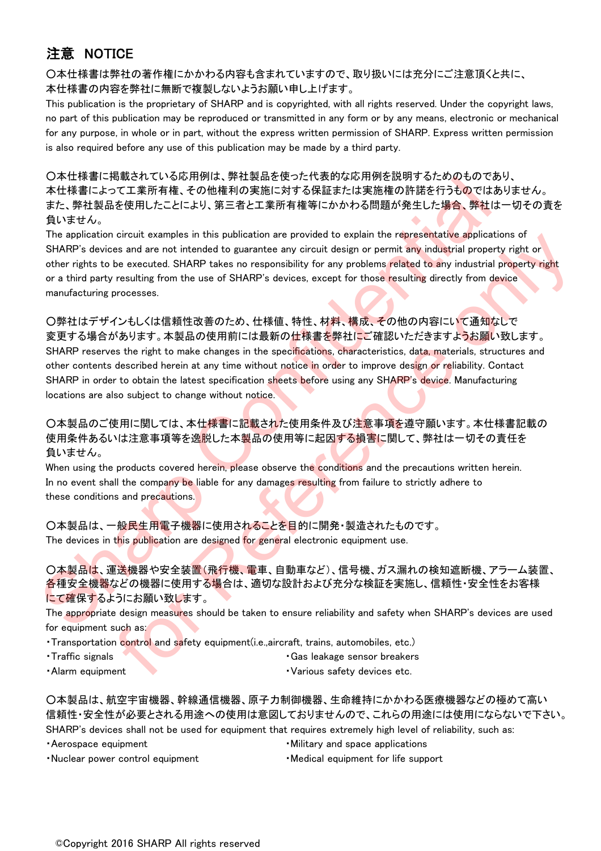## 注意 NOTICE

○本仕様書は弊社の著作権にかかわる内容も含まれていますので、取り扱いには充分にご注意頂くと共に、 本仕様書の内容を弊社に無断で複製しないようお願い申し上げます。

This publication is the proprietary of SHARP and is copyrighted, with all rights reserved. Under the copyright laws, no part of this publication may be reproduced or transmitted in any form or by any means, electronic or mechanical for any purpose, in whole or in part, without the express written permission of SHARP. Express written permission is also required before any use of this publication may be made by a third party.

○本仕様書に掲載されている応用例は、弊社製品を使った代表的な応用例を説明するためのものであり、 本仕様書によって工業所有権、その他権利の実施に対する保証または実施権の許諾を行うものではありません。 また、弊社製品を使用したことにより、第三者と工業所有権等にかかわる問題が発生した場合、弊社は一切その責を 負いません。

The application circuit examples in this publication are provided to explain the representative applications of SHARP's devices and are not intended to guarantee any circuit design or permit any industrial property right or other rights to be executed. SHARP takes no responsibility for any problems related to any industrial property right or a third party resulting from the use of SHARP's devices, except for those resulting directly from device manufacturing processes.

○弊社はデザインもしくは信頼性改善のため、仕様値、特性、材料、構成、その他の内容にいて通知なしで 変更する場合があります。本製品の使用前には最新の仕<mark>様書を</mark>弊社にご確認いただきますよ<mark>うお願</mark>い致します。 SHARP reserves the right to make changes in the specifications, characteristics, data, materials, structures and other contents described herein at any time without notice in order to improve design or reliability. Contact SHARP in order to obtain the latest specification sheets before using any SHARP's device. Manufacturing locations are also subject to change without notice. しては常に16%とないこいない形向よ。特性基本に定期子を指導した方式の中の時間の情報にようなのかのことのない。<br>また、弊社最高を使用したことにより、第三者と工業所有権等にかかわる問題が発生した場合、等社は一様<br>最も基本の性格にようにより、第三者と工業所有権等にかかわる問題が発生した場合、等社は一体<br>たちはません。<br>The application circuit examples in this publication are prov icreamings in this publication are provided to explain the representative applications of the secure designed of the secure of the secure of the secure of the secure of the resulting finestive investigation of the result

○本製品のご使用に関しては、本仕様書に記載された使用条件及び注意事項を遵守願います。本仕様書記載の 使用条件あるいは注意事項等を逸脱した本製品の使用等に起因する損害に関して、弊社は一切その責任を 負いません。

When using the products covered herein, please observe the conditions and the precautions written herein. In no event shall the company be liable for any damages resulting from failure to strictly adhere to these conditions and precautions.

○本製品は、一般民生用電子機器に使用されることを目的に開発・製造されたものです。 The devices in this publication are designed for general electronic equipment use.

○本製品は、運送機器や安全装置(飛行機、電車、自動車など)、信号機、ガス漏れの検知遮断機、アラーム装置、 各種安全機器などの機器に使用する場合は、適切な設計および充分な検証を実施し、信頼性・安全性をお客様 にて確保するようにお願い致します。

The appropriate design measures should be taken to ensure reliability and safety when SHARP's devices are used for equipment such as:

・Transportation control and safety equipment(i.e.,aircraft, trains, automobiles, etc.)

- Traffic signals  **Cas leakage sensor breakers** Gas leakage sensor breakers
	-
- 
- Alarm equipment **and the contract of the contract of the various safety devices etc.**

○本製品は、航空宇宙機器、幹線通信機器、原子力制御機器、生命維持にかかわる医療機器などの極めて高い 信頼性・安全性が必要とされる用途への使用は意図しておりませんので、これらの用途には使用にならないで下さい。 SHARP's devices shall not be used for equipment that requires extremely high level of reliability, such as:

- 
- Aerospace equipment **but a** section **of the set of the Military and space applications**
- Nuclear power control equipment · Medical equipment for life support
	-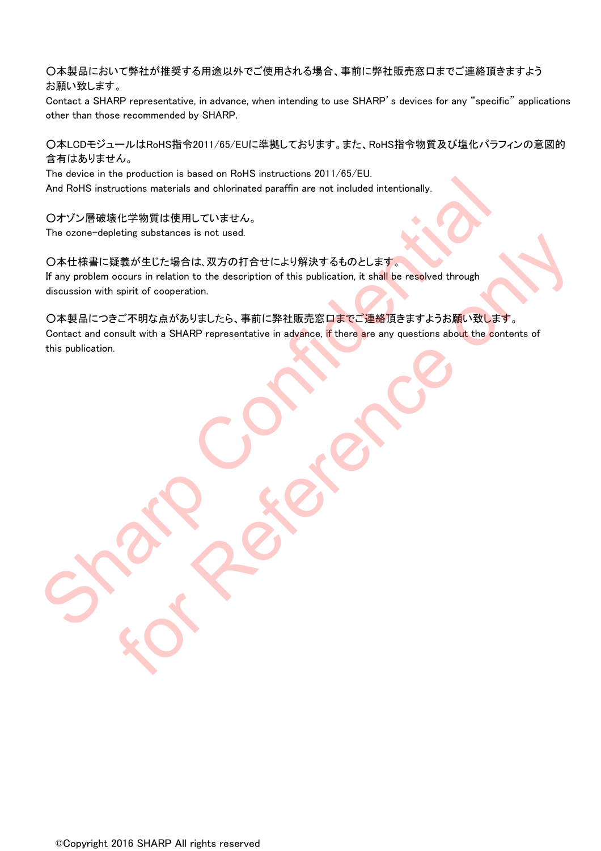○本製品において弊社が推奨する用途以外でご使用される場合、事前に弊社販売窓口までご連絡頂きますよう お願い致します。

Contact a SHARP representative, in advance, when intending to use SHARP's devices for any "specific" applications other than those recommended by SHARP.

### ○本LCDモジュールはRoHS指令2011/65/EUに準拠しております。また、RoHS指令物質及び塩化パラフィンの意図的 含有はありません。

The device in the production is based on RoHS instructions 2011/65/EU.

And RoHS instructions materials and chlorinated paraffin are not included intentionally.

○オゾン層破壊化学物質は使用していません。 The ozone-depleting substances is not used.

### ○本仕様書に疑義が生じた場合は、双方の打合せにより解決するものとします。

If any problem occurs in relation to the description of this publication, it shall be resolved through discussion with spirit of cooperation.

○本製品につきご不明な点がありましたら、事前に弊社販売窓口までご連絡頂きますようお願い致します。 Contact and consult with a SHARP representative in advance, if there are any questions about the contents of this publication. And RoHS instructions materials and childrinated paraffin are not included intentionally.<br>
O オゾン原破壕化学物質は使用していません。<br>
The ozone-depleting substances is not used.<br>
O 本性様書に延篇が生じた場合は、双方の打合世により解決するものとします。<br>
If any problem occurs FOR SUSSIGNIES IS INVISIT: 1998 AT 2 3 6 50 ALL IF 3 7.<br>
THE ART AN INSURANT AND THE CHANGE OF THE CHANGE OF THE CHANGE OF THE CHANGE OF THE CHANGE OF THE CHANGE OF T<br>
IS THAT AN AS SHARP representative in advance. If ther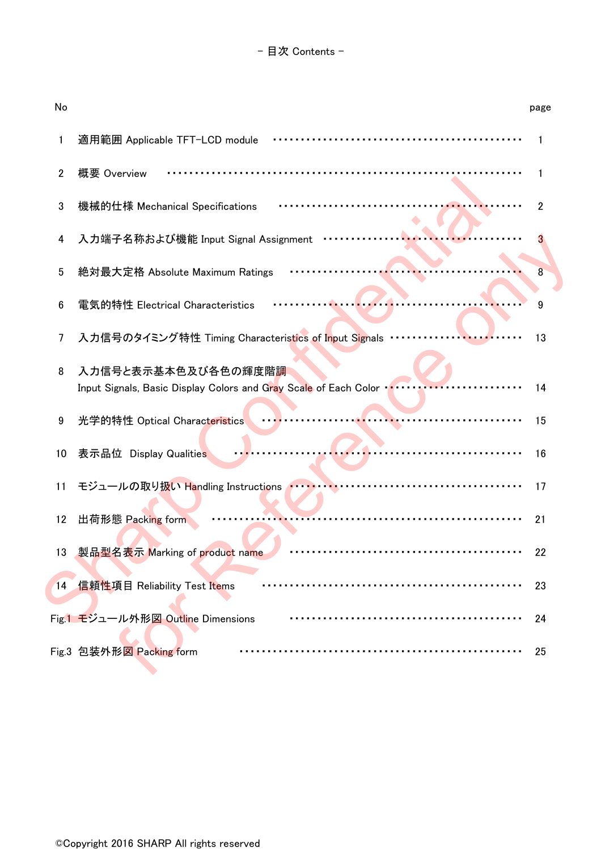| No |                                                                                                  | page |
|----|--------------------------------------------------------------------------------------------------|------|
| 1  | 適用範囲 Applicable TFT-LCD module                                                                   |      |
| 2  | 概要 Overview                                                                                      | 1    |
| 3  | 機械的仕様 Mechanical Specifications                                                                  | 2    |
| 4  | 入力端子名称および機能 Input Signal Assignment                                                              |      |
| 5  | 絶対最大定格 Absolute Maximum Ratings                                                                  | 8    |
| 6  | 電気的特性 Electrical Characteristics                                                                 | 9    |
| 7  | 入力信号のタイミング特性 Timing Characteristics of Input Signals                                             | 13   |
| 8  | 入力信号と表示基本色及び各色の輝度階調<br>Input Signals, Basic Display Colors and Gray Scale of Each Color vertical | 14   |
| 9  | 光学的特性 Optical Characteristics                                                                    | 15   |
| 10 | 表示品位 Display Qualities                                                                           | 16   |
| 11 | モジュールの取り扱い Handling Instructions ハー・・・・・・・                                                       | 17   |
| 12 | 出荷形態 Packing form                                                                                | 21   |
| 13 | 製品型名表示 Marking of product name                                                                   | 22   |
| 14 | 信頼性項目 Reliability Test Items                                                                     | 23   |
|    | Fig.1 モジュール外形図 Outline Dimensions                                                                | 24   |
|    | Fig.3 包装外形図 Packing form                                                                         | 25   |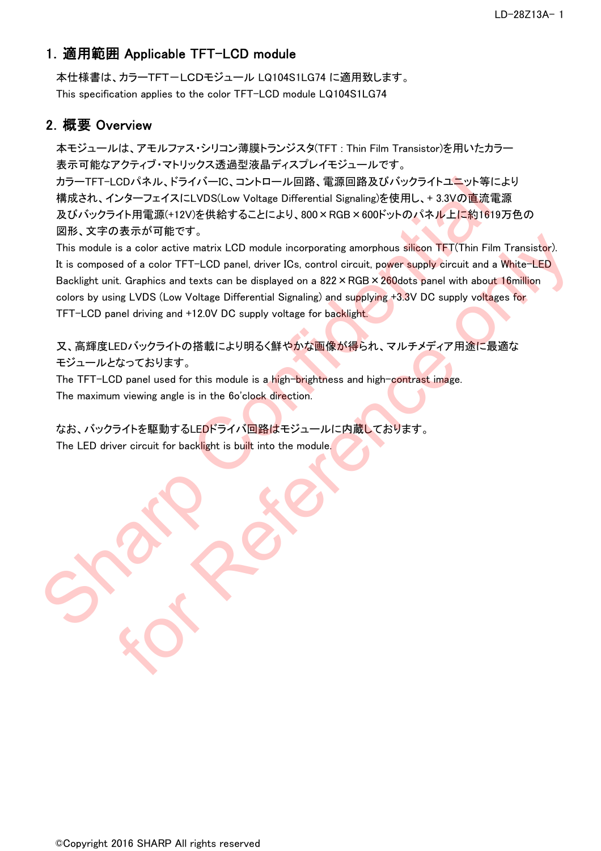### 1.適用範囲 Applicable TFT-LCD module

本仕様書は、カラーTFT-LCDモジュール LQ104S1LG74 に適用致します。 This specification applies to the color TFT-LCD module LQ104S1LG74

### 2.概要 Overview

本モジュールは、アモルファス・シリコン薄膜トランジスタ(TFT : Thin Film Transistor)を用いたカラー 表示可能なアクティブ・マトリックス透過型液晶ディスプレイモジュールです。 カラーTFT-LCDパネル、ドライバーIC、コントロール回路、電源回路及びバックライトユニット等により 構成され、インターフェイスにLVDS(Low Voltage Differential Signaling)を使用し、+ 3.3Vの直流電源 及びバックライト用電源(+12V)を供給することにより、800×RGB×600ドットのパネル上に約1619万色の 図形、文字の表示が可能です。

This module is a color active matrix LCD module incorporating amorphous silicon TFT(Thin Film Transistor). It is composed of a color TFT-LCD panel, driver ICs, control circuit, power supply circuit and a White-LED Backlight unit. Graphics and texts can be displayed on a 822 × RGB × 260 dots panel with about 16 million colors by using LVDS (Low Voltage Differential Signaling) and supplying +3.3V DC supply voltages for TFT-LCD panel driving and +12.0V DC supply voltage for backlight. カラーTFT-LOD / iネル、ドライバーHC. コントロール回路、電源国路及びバックライトユニット等により、<br>横成され、インターフェイスにLVDS(Low Voltage Differential Signaling/2を使用し、+ 3.3Vの直流電源<br>及びバックライト用電源(+12V)を供給することにより、800×RGB×8000ドットの(ネルトにお)1619万卡<br>国路、文字の表示が可能です。<br>This module is a c via ration and text in CD module incorporating amorphous silicon TFT(Thin Film Transistor).<br>
is a color active matrix LCD module incorporating amorphous silicon TFT(Thin Film Transistor).<br>
the Craphics and texts can be d

又、高輝度LEDバックライトの搭載により明るく鮮やかな画像が得られ、マルチメディア用途に最適な モジュールとなっております。

The TFT-LCD panel used for this module is a high-brightness and high-contrast image. The maximum viewing angle is in the 6o'clock direction.

なお、バックライトを駆動するLEDドライバ回路はモジュールに内蔵しております。 The LED driver circuit for backlight is built into the module.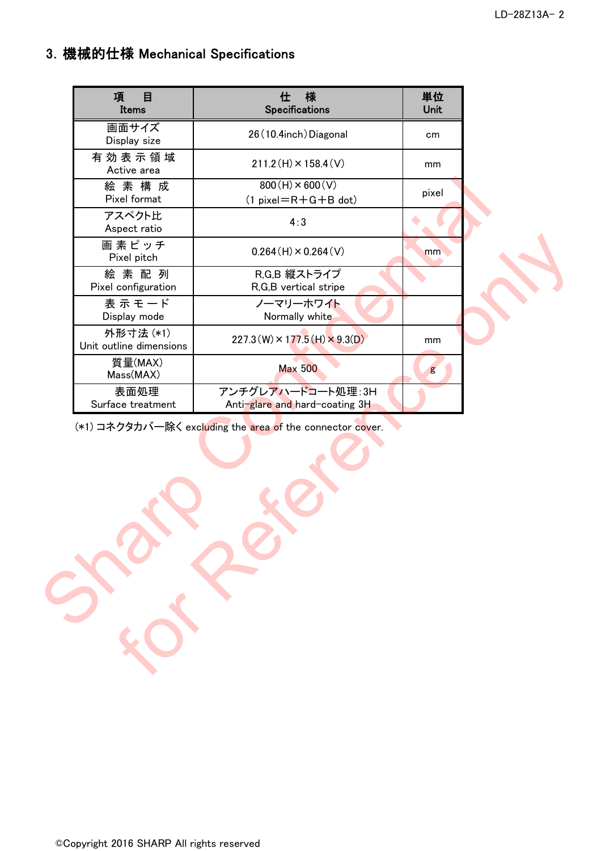## 3.機械的仕様 Mechanical Specifications

| 項<br>目<br>Items                      | 様<br>仕<br>Specifications                                  | 単位<br>Unit |  |
|--------------------------------------|-----------------------------------------------------------|------------|--|
| 画面サイズ<br>Display size                | 26 (10.4inch) Diagonal                                    | cm         |  |
| 有効表示領域<br>Active area                | $211.2(H) \times 158.4(V)$                                | mm         |  |
| 絵素構成<br>Pixel format                 | $800(H) \times 600(V)$<br>$(1 pixel=R+G+B$ dot)           | pixel      |  |
| アスペクト比<br>Aspect ratio               | 4:3                                                       |            |  |
| 画素ピッチ<br>Pixel pitch                 | $0.264(H) \times 0.264(V)$                                | mm         |  |
| 絵素配列<br>Pixel configuration          | R,G,B 縦ストライプ<br>R,G,B vertical stripe                     |            |  |
| 表示モード<br>Display mode                | ノーマリーホワイト<br>Normally white                               |            |  |
| 外形寸法 (*1)<br>Unit outline dimensions | $227.3(W) \times 177.5(H) \times 9.3(D)$                  | mm         |  |
| 質量(MAX)<br>Mass(MAX)                 | <b>Max 500</b>                                            | g          |  |
| 表面処理<br>Surface treatment            | アンチグレアハードコート処理:3H<br>Anti-glare and hard-coating 3H       |            |  |
|                                      | (*1) コネクタカバー除く excluding the area of the connector cover. |            |  |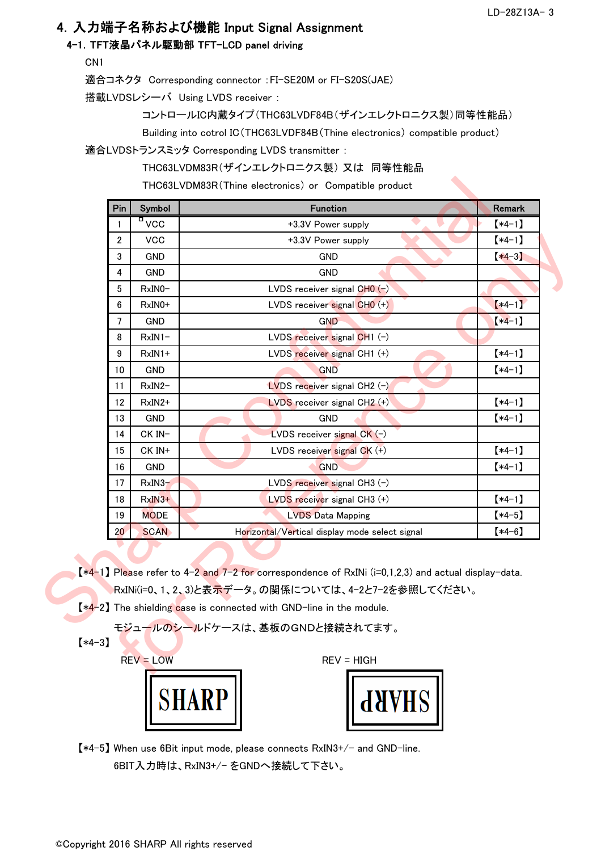### 4.入力端子名称および機能 Input Signal Assignment

#### 4-1.TFT液晶パネル駆動部 TFT-LCD panel driving

CN1

適合コネクタ Corresponding connector :FI-SE20M or FI-S20S(JAE)

搭載LVDSレシーバ Using LVDS receiver :

コントロールIC内蔵タイプ(THC63LVDF84B(ザインエレクトロニクス製)同等性能品)

Building into cotrol IC(THC63LVDF84B(Thine electronics) compatible product)

適合LVDSトランスミッタ Corresponding LVDS transmitter :

THC63LVDM83R(ザインエレクトロニクス製) 又は 同等性能品

| Pin            | Symbol               | <b>Function</b>                                                                                                                                                                                                                                                                                          | Remark   |
|----------------|----------------------|----------------------------------------------------------------------------------------------------------------------------------------------------------------------------------------------------------------------------------------------------------------------------------------------------------|----------|
| $\mathbf{1}$   | $\frac{1}{\sqrt{2}}$ | +3.3V Power supply                                                                                                                                                                                                                                                                                       | $(*4-1)$ |
| $\overline{2}$ | <b>VCC</b>           | +3.3V Power supply                                                                                                                                                                                                                                                                                       | $*4-1]$  |
| 3              | <b>GND</b>           | <b>GND</b>                                                                                                                                                                                                                                                                                               | $*4-3]$  |
| 4              | GND                  | <b>GND</b>                                                                                                                                                                                                                                                                                               |          |
| 5              | $RxINO-$             | LVDS receiver signal $CHO(-)$                                                                                                                                                                                                                                                                            |          |
| 6              | $RxINO+$             | LVDS receiver signal CHO (+)                                                                                                                                                                                                                                                                             | $*4-1]$  |
| $\overline{7}$ | <b>GND</b>           | <b>GND</b>                                                                                                                                                                                                                                                                                               | $*4-1]$  |
| 8              | $RxIN1-$             | LVDS receiver signal CH1 (-)                                                                                                                                                                                                                                                                             |          |
| 9              | $RxIN1+$             | LVDS receiver signal CH1 (+)                                                                                                                                                                                                                                                                             | $(*4-1)$ |
| 10             | GND                  | <b>GND</b>                                                                                                                                                                                                                                                                                               | $*4-1]$  |
| 11             | $RxIN2-$             | <b>LVDS</b> receiver signal CH2 $(-)$                                                                                                                                                                                                                                                                    |          |
| 12             | RxIN2+               | LVDS receiver signal CH2 (+)                                                                                                                                                                                                                                                                             | $[*4-1]$ |
| 13             | <b>GND</b>           | <b>GND</b>                                                                                                                                                                                                                                                                                               | $(*4-1)$ |
| 14             | CK IN-               | LVDS receiver signal $CK (-)$                                                                                                                                                                                                                                                                            |          |
| 15             | CK IN+               | LVDS receiver signal CK (+)                                                                                                                                                                                                                                                                              | $*4-1]$  |
| 16             | GND                  | <b>GND</b>                                                                                                                                                                                                                                                                                               | $[*4-1]$ |
| 17             | $RxIN3-$             | LVDS receiver signal CH3 (-)                                                                                                                                                                                                                                                                             |          |
| 18             | $RxIN3+$             | LVDS receiver signal CH3 (+)                                                                                                                                                                                                                                                                             | $*4-1]$  |
| 19             | <b>MODE</b>          | <b>LVDS Data Mapping</b>                                                                                                                                                                                                                                                                                 | $*4-5]$  |
| 20             | <b>SCAN</b>          | Horizontal/Vertical display mode select signal                                                                                                                                                                                                                                                           | $(*4-6)$ |
|                |                      | $\left[\frac{*4-1}{2}\right]$ Please refer to 4-2 and 7-2 for correspondence of RxINi (i=0,1,2,3) and actual display-data.<br> RxINi(i=0、1、2、3)と表 <mark>示デ</mark> ータ。の関係については、4-2と7-2を参照してください。<br>$*4-2$ The shielding case is connected with GND-line in the module.<br>モジュールのシールドケースは、基板のGNDと接続されてます。 |          |
| $*4-3]$        |                      |                                                                                                                                                                                                                                                                                                          |          |
|                | $REV = LOW$          | $REV = HIGH$                                                                                                                                                                                                                                                                                             |          |



| ł<br>V |
|--------|
|--------|

【\*4-5】 When use 6Bit input mode, please connects RxIN3+/- and GND-line. 6BIT入力時は、RxIN3+/- をGNDへ接続して下さい。 6BIT入力時は、 RxIN3+/- をGNDへ接続して下さい。<br>©Copyright 2016 SHARP All rights reserved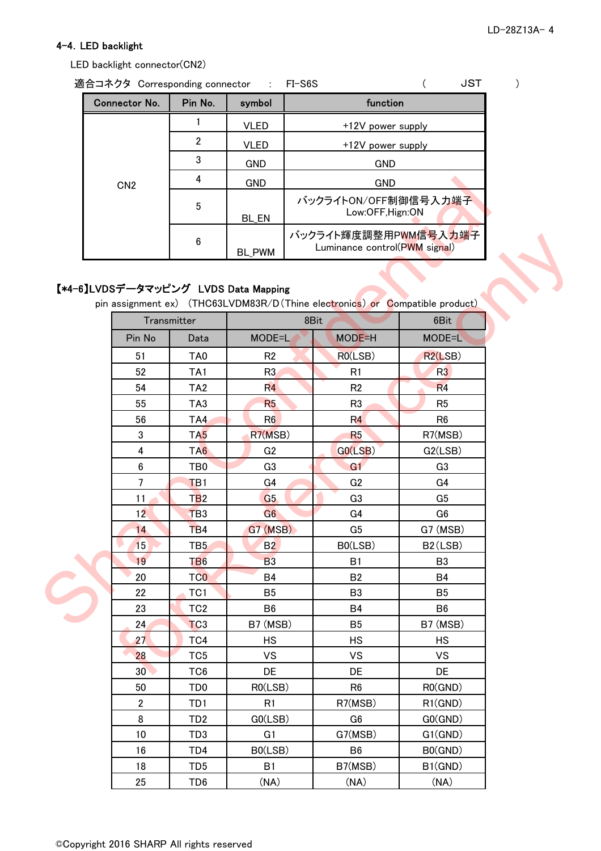#### 4-4.LED backlight

LED backlight connector(CN2)

| 適合コネクタ Corresponding connector : FI-S6S |         |               | JST                                                   |  |
|-----------------------------------------|---------|---------------|-------------------------------------------------------|--|
| Connector No.                           | Pin No. | symbol        | function                                              |  |
|                                         |         | <b>VLED</b>   | +12V power supply                                     |  |
|                                         | 2       | VLED          | +12V power supply                                     |  |
|                                         | 3       | <b>GND</b>    | <b>GND</b>                                            |  |
| CN <sub>2</sub>                         | 4       | <b>GND</b>    | <b>GND</b>                                            |  |
|                                         | 5       | <b>BL EN</b>  | バックライトON/OFF制御信号入力端子<br>Low:OFF, Hign: ON             |  |
|                                         | 6       | <b>BL PWM</b> | バックライト輝度調整用PWM信号入力端子<br>Luminance control(PWM signal) |  |

### 【\*4-6】LVDSデータマッピング LVDS Data Mapping

pin assignment ex) (THC63LVDM83R/D (Thine electronics) or Compatible product) 54 | TA2 | R4 R2 R2 R4 52 TA1 R3 R1 R3 Transmitter 1 8Bit 6Bit 6Bit Pin No | Data | MODE=L MODE=H | MODE=L 51 | TA0 | R2 R0(LSB) | R2(LSB) 50 TD0 R0(LSB) 27 1 TC4 HS 22 **TC1** B5 15 TB5 B2 R6 | R0(GND) 30 TC6 DE DE DE 28 TC5 VS VS VS VS HS HS 24 TC3 B7 (MSB) B5 B7 (MSB) 23 C TC2 B6 B6 B4 B6 B3 B5 20 | TCO B4 | B2 | B4 19 TB6 B3 B3 B1 B3 B0(LSB) B2(LSB) 14 TB4 G7 (MSB) G5 G7 (MSB) 12 TB3 G6 G4 G6 11 TB2 G5 G5 G3 G5 7 TB1 G4 G2 G4 6 TB0 G3 G1 G1 G3 4 | TA6 | G2 | G0(LSB) G2(LSB) 3 TA5 R7(MSB) R5 R7(MSB) 56 TA4 R6 R6 R6 R6 55 TA3 R5 R5 R3 R5 CN2  $\frac{4}{5}$  CND<br>  $\frac{6}{5}$  BLEN  $\sqrt{5/7}$   $\sqrt{5/7}$   $\sqrt{5/7}$   $\sqrt{5/7}$   $\sqrt{5/7}$   $\sqrt{5/7}$   $\sqrt{5/7}$   $\sqrt{5/7}$   $\sqrt{5/7}$   $\sqrt{5/7}$   $\sqrt{5/7}$   $\sqrt{5/7}$   $\sqrt{5/7}$   $\sqrt{5/7}$   $\sqrt{5/7}$   $\sqrt{5/7}$   $\sqrt{5/7}$   $\sqrt{5/7}$   $\sqrt{5/7$ 6 BLPWM  $(1 \times 977 + 149 \text{ Rg})$ <br>  $877 - 97 \text{ yr} \le 297$  LVDS Data Mapping<br>  $877 - 97 \text{ yr} \le 297$  LVDS Data Mapping<br>
Transmitter<br>
Transmitter<br>
Transmitter<br>
Transmitter<br>
Transmitter<br>
Transmitter<br>
Transmitter<br>
Transmitter<br>
SBT TA

> 18 | TD5 | B1 | B7(MSB) | B1(GND) 16 | TD4 | B0(LSB) | B6 | B0(GND)

25 TD6 (NA) (NA) (NA)

8 | TD2 | G0(LSB) | G6 | G0(GND) 2 | TD1 | R1 | R7(MSB) | R1(GND)

G7(MSB) G1(GND)

©Copyright 2016 SHARP All rights reserved

10 | TD3 | G1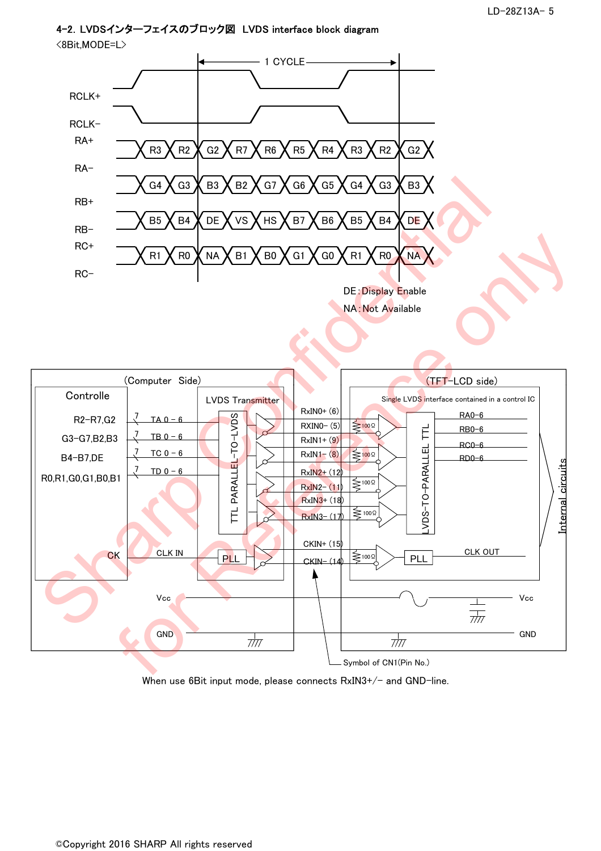## 4-2.LVDSインターフェイスのブロック図 LVDS interface block diagram





When use 6Bit input mode, please connects  $RxIN3+/-$  and  $GND$ -line.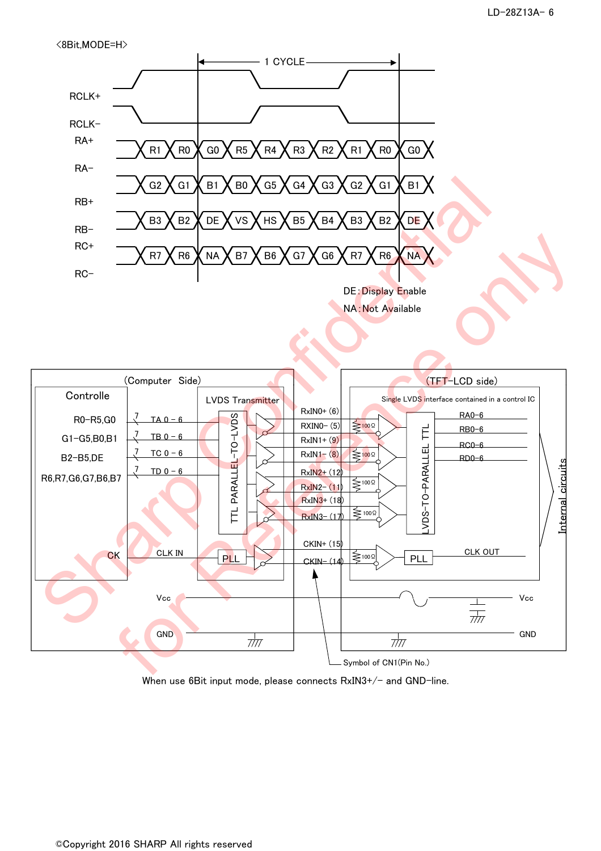<8Bit,MODE=H>





When use 6Bit input mode, please connects  $RxIN3+/-$  and  $GND$ -line.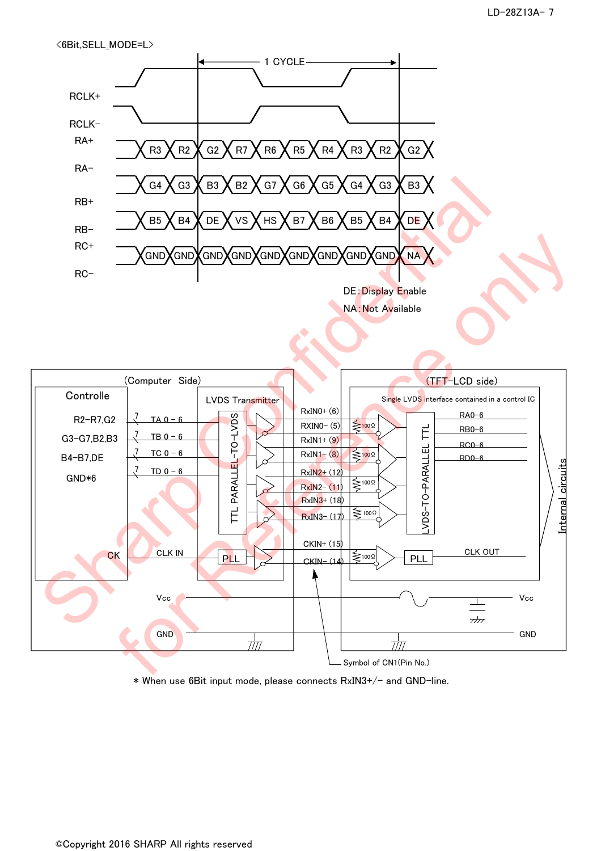```
<6Bit,SELL_MODE=L>
```




\* When use 6Bit input mode, please connects RxIN3+/- and GND-line.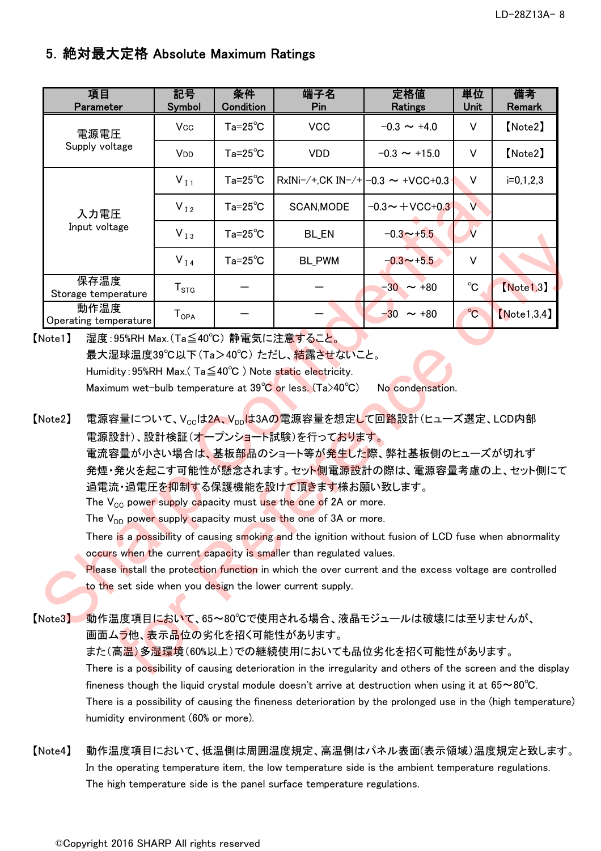### 5.絶対最大定格 Absolute Maximum Ratings

| 項目<br>Parameter               | 記号<br>Symbol           | 条件<br><b>Condition</b> | 端子名<br>Pin                                                                                                                                                                                                                                                                                                                                                  | 定格値<br><b>Ratings</b>                                                                                                                                                                                                                                                                                                                                                                                                | 単位<br><b>Unit</b>       | 備考<br><b>Remark</b> |
|-------------------------------|------------------------|------------------------|-------------------------------------------------------------------------------------------------------------------------------------------------------------------------------------------------------------------------------------------------------------------------------------------------------------------------------------------------------------|----------------------------------------------------------------------------------------------------------------------------------------------------------------------------------------------------------------------------------------------------------------------------------------------------------------------------------------------------------------------------------------------------------------------|-------------------------|---------------------|
| 電源電圧                          | Vcc                    | $Ta=25^{\circ}C$       | <b>VCC</b>                                                                                                                                                                                                                                                                                                                                                  | $-0.3 \sim +4.0$                                                                                                                                                                                                                                                                                                                                                                                                     | V                       | [Note2]             |
| Supply voltage                | V <sub>DD</sub>        | $Ta = 25^{\circ}C$     | <b>VDD</b>                                                                                                                                                                                                                                                                                                                                                  | $-0.3 \sim +15.0$                                                                                                                                                                                                                                                                                                                                                                                                    | V                       | [Note2]             |
|                               | $V_{I1}$               | $Ta = 25^{\circ}C$     | $RxINi-/+,CK IN-/+ -0.3 \sim +VCC+0.3$                                                                                                                                                                                                                                                                                                                      |                                                                                                                                                                                                                                                                                                                                                                                                                      | V                       | $i=0,1,2,3$         |
| 入力電圧                          | $V_{I2}$               | $Ta = 25^{\circ}C$     | SCAN, MODE                                                                                                                                                                                                                                                                                                                                                  | $-0.3 - +$ VCC+0.3                                                                                                                                                                                                                                                                                                                                                                                                   | $\vee$                  |                     |
| Input voltage                 | $V_{I3}$               | $Ta = 25^{\circ}C$     | <b>BL_EN</b>                                                                                                                                                                                                                                                                                                                                                | $-0.3 \rightarrow +5.5$                                                                                                                                                                                                                                                                                                                                                                                              | $\overline{\mathsf{v}}$ |                     |
|                               | $V_{I4}$               | $Ta = 25^{\circ}C$     | <b>BL_PWM</b>                                                                                                                                                                                                                                                                                                                                               | $-0.3 \rightarrow +5.5$                                                                                                                                                                                                                                                                                                                                                                                              | V                       |                     |
| 保存温度<br>Storage temperature   | ${\sf T}_{\text{STG}}$ |                        |                                                                                                                                                                                                                                                                                                                                                             | $-30 \sim +80$                                                                                                                                                                                                                                                                                                                                                                                                       | $^{\circ}$ C            | [Note 1, 3]         |
| 動作温度<br>Operating temperature | $T_{OPA}$              |                        |                                                                                                                                                                                                                                                                                                                                                             | $-30 \sim +80$                                                                                                                                                                                                                                                                                                                                                                                                       | $^{\circ}$ C            | [Note 1, 3, 4]      |
| Note2                         |                        |                        | Maximum wet-bulb temperature at $39^{\circ}$ C or less. (Ta>40°C)<br>電源設計)、設計検証(オープンショート試験)を行っております。<br>過電流・過電圧を抑制する保護機能を設けて頂きます様お願い致します。<br>The $V_{CC}$ power supply capacity must use the one of 2A or more.<br>The $V_{DD}$ power supply capacity must use the one of 3A or more.<br>occurs when the current capacity is smaller than regulated values. | No condensation.<br>電源容量について、V <sub>cc</sub> は2A、V <sub>pp</sub> は3Aの電源容量を想定して回路設計(ヒューズ選定、LCD内部<br>電流容量が小さい場合は、基板部品のショート等が発生した際、弊社基板側のヒューズが切れず<br>発煙・発火を起こす可能性が懸念されます。セット側電源設計の際は、電源容量考慮の上、セット側に<br>There is a possibility of causing smoking and the ignition without fusion of LCD fuse when abnormality<br>Please install the protection function in which the over current and the excess voltage are controlled |                         |                     |
|                               |                        |                        | to the set side when you design the lower current supply.                                                                                                                                                                                                                                                                                                   |                                                                                                                                                                                                                                                                                                                                                                                                                      |                         |                     |
| Note3                         |                        |                        |                                                                                                                                                                                                                                                                                                                                                             | 動作温度項目において、65~80℃で使用される場合、液晶モジュールは破壊には至りませんが、                                                                                                                                                                                                                                                                                                                                                                        |                         |                     |

【Note2】 電源容量について、Vccは2A、Vppは3Aの電源容量を想定して回路設計(ヒューズ選定、LCD内部 電源設計)、設計検証(オープンショート試験)を行っております。 電流容量が小さい場合は、基板部品のショート等が発生した際、弊社基板側のヒューズが切れず 発煙・発火を起こす可能性が懸念されます。セット側電源設計の際は、電源容量考慮の上、セット側にて 過電流・過電圧を抑制する保護機能を設けて頂きます様お願い致します。 The  $V_{CC}$  power supply capacity must use the one of 2A or more. The  $V_{DD}$  power supply capacity must use the one of 3A or more. for Reference only

【Note3】 動作温度項目において、65~80℃で使用される場合、液晶モジュールは破壊には至りませんが、 画面ムラ他、表示品位の劣化を招く可能性があります。 また(高温)多湿環境(60%以上)での継続使用においても品位劣化を招く可能性があります。 There is a possibility of causing deterioration in the irregularity and others of the screen and the display fineness though the liquid crystal module doesn't arrive at destruction when using it at 65~80°C. There is a possibility of causing the fineness deterioration by the prolonged use in the (high temperature) humidity environment (60% or more).

【Note4】 動作温度項目において、低温側は周囲温度規定、高温側はパネル表面(表示領域)温度規定と致します。 In the operating temperature item, the low temperature side is the ambient temperature regulations. The high temperature side is the panel surface temperature regulations.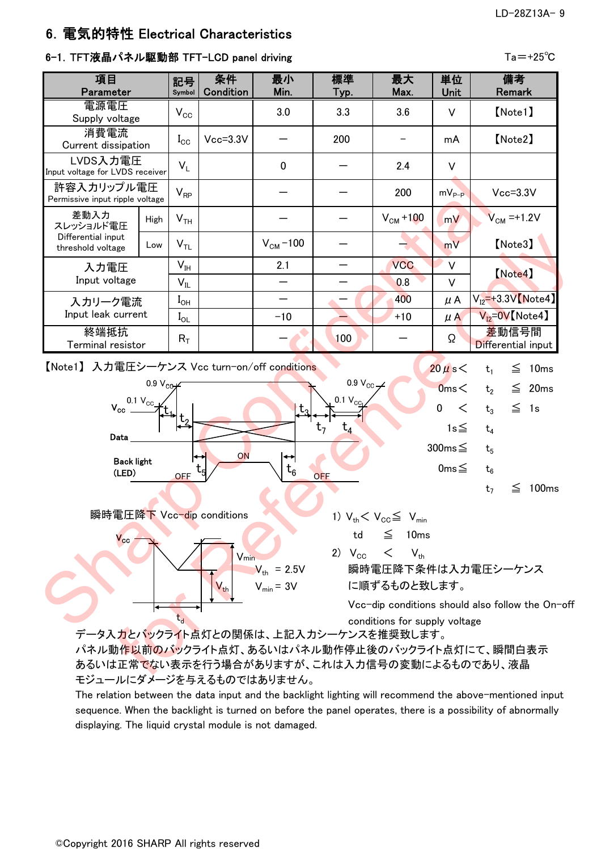#### LD-28Z13A- 9

### 6.電気的特性 Electrical Characteristics

#### 6-1. TFT液晶パネル駆動部 TFT-LCD panel driving Tation Tation Tation Tation Tation Tation Tation Tation Tation Ta

| $V_{\rm CC}$<br>$I_{\rm CC}$<br>$V_L$<br>$V_{RP}$<br>V <sub>TH</sub><br>$V_{TL}$<br>V <sub>IH</sub><br>$V_{IL}$<br>$I_{OH}$<br>$I_{OL}$<br>$\mathsf{R}_\mathsf{T}$                                                                                                                                                                                                                                                                                                                                                                                                                                                                                                                                                                                                                                                                                                                                                                                                                                                                                                                                                                                                                                                                                                                                                                                                                                                                                         | $Vcc = 3.3V$ | 3.0<br>$\mathbf{0}$<br>$V_{CM}$ –100<br>2.1<br>$\overline{\phantom{0}}$<br>$-10$ | 3.3<br>200 | 3.6<br>2.4<br>200<br>$VCM + 100$<br><b>VCC</b><br>0.8<br>400<br>$+10$ | V<br>mA<br>V<br>$mV_{p-p}$<br>mV<br>mV<br>$\vee$<br>$\vee$<br>$\mu$ A | [Note1]<br>[Note2]<br>$Vcc = 3.3V$<br>$V_{CM} = +1.2V$<br>[Note3]<br>(Note4)<br>$V_{12}$ =+3.3V [Note4] |
|------------------------------------------------------------------------------------------------------------------------------------------------------------------------------------------------------------------------------------------------------------------------------------------------------------------------------------------------------------------------------------------------------------------------------------------------------------------------------------------------------------------------------------------------------------------------------------------------------------------------------------------------------------------------------------------------------------------------------------------------------------------------------------------------------------------------------------------------------------------------------------------------------------------------------------------------------------------------------------------------------------------------------------------------------------------------------------------------------------------------------------------------------------------------------------------------------------------------------------------------------------------------------------------------------------------------------------------------------------------------------------------------------------------------------------------------------------|--------------|----------------------------------------------------------------------------------|------------|-----------------------------------------------------------------------|-----------------------------------------------------------------------|---------------------------------------------------------------------------------------------------------|
|                                                                                                                                                                                                                                                                                                                                                                                                                                                                                                                                                                                                                                                                                                                                                                                                                                                                                                                                                                                                                                                                                                                                                                                                                                                                                                                                                                                                                                                            |              |                                                                                  |            |                                                                       |                                                                       |                                                                                                         |
|                                                                                                                                                                                                                                                                                                                                                                                                                                                                                                                                                                                                                                                                                                                                                                                                                                                                                                                                                                                                                                                                                                                                                                                                                                                                                                                                                                                                                                                            |              |                                                                                  |            |                                                                       |                                                                       |                                                                                                         |
|                                                                                                                                                                                                                                                                                                                                                                                                                                                                                                                                                                                                                                                                                                                                                                                                                                                                                                                                                                                                                                                                                                                                                                                                                                                                                                                                                                                                                                                            |              |                                                                                  |            |                                                                       |                                                                       |                                                                                                         |
|                                                                                                                                                                                                                                                                                                                                                                                                                                                                                                                                                                                                                                                                                                                                                                                                                                                                                                                                                                                                                                                                                                                                                                                                                                                                                                                                                                                                                                                            |              |                                                                                  |            |                                                                       |                                                                       |                                                                                                         |
|                                                                                                                                                                                                                                                                                                                                                                                                                                                                                                                                                                                                                                                                                                                                                                                                                                                                                                                                                                                                                                                                                                                                                                                                                                                                                                                                                                                                                                                            |              |                                                                                  |            |                                                                       |                                                                       |                                                                                                         |
|                                                                                                                                                                                                                                                                                                                                                                                                                                                                                                                                                                                                                                                                                                                                                                                                                                                                                                                                                                                                                                                                                                                                                                                                                                                                                                                                                                                                                                                            |              |                                                                                  |            |                                                                       |                                                                       |                                                                                                         |
|                                                                                                                                                                                                                                                                                                                                                                                                                                                                                                                                                                                                                                                                                                                                                                                                                                                                                                                                                                                                                                                                                                                                                                                                                                                                                                                                                                                                                                                            |              |                                                                                  |            |                                                                       |                                                                       |                                                                                                         |
|                                                                                                                                                                                                                                                                                                                                                                                                                                                                                                                                                                                                                                                                                                                                                                                                                                                                                                                                                                                                                                                                                                                                                                                                                                                                                                                                                                                                                                                            |              |                                                                                  |            |                                                                       |                                                                       |                                                                                                         |
|                                                                                                                                                                                                                                                                                                                                                                                                                                                                                                                                                                                                                                                                                                                                                                                                                                                                                                                                                                                                                                                                                                                                                                                                                                                                                                                                                                                                                                                            |              |                                                                                  |            |                                                                       |                                                                       |                                                                                                         |
|                                                                                                                                                                                                                                                                                                                                                                                                                                                                                                                                                                                                                                                                                                                                                                                                                                                                                                                                                                                                                                                                                                                                                                                                                                                                                                                                                                                                                                                            |              |                                                                                  | 100        |                                                                       | Ω                                                                     |                                                                                                         |
| 許容入カリップル電圧<br>Permissive input ripple voltage<br>差動入力<br>High<br>スレッショルド電圧<br>Differential input<br>Low<br>threshold voltage<br>入力電圧<br>Input voltage<br>入カリーク電流<br>Input leak current<br>$V_{12} = 0V$ [Note4]<br>$\mu$ A<br>終端抵抗<br>差動信号間<br>Differential input<br>Terminal resistor<br>【Note1】 入力電圧シーケンス Vcc turn-on/off conditions<br>$20 \mu s <$<br>$\leq$<br>10ms<br>t <sub>1</sub><br>0.9 $V_{\text{cc}}$ $\rightarrow$<br>0.9 V <sub>CO</sub><br>0ms<<br>$\leq$ 20ms<br>t <sub>2</sub><br>$0.1 V_{\text{CO}}$<br>$0.1 V_{\text{cc}}$<br>$\mathsf{V}_{\mathsf{cc}}$<br>$\mathbf 0$<br>$\lt$<br>$\leq$ 1s<br>٠t.<br>$t_3$<br>$1s \leq$<br>$t_{4}$<br>$t_4$<br>Data<br>$300ms \leq$<br>t <sub>5</sub><br>ON<br>↔<br>↔<br><b>Back light</b><br>0ms $\leq$<br>$\bm{{\mathsf{t}}}_6$<br>$t_6$<br>(LED)<br>OFF<br><b>OFF</b><br>≦<br>100 <sub>ms</sub><br>t <sub>7</sub><br>瞬時電圧降下 Vcc-dip conditions<br>1) $V_{th} < V_{CC} \leq V_{min}$<br>$\leq$<br>10ms<br>td<br>$\mathsf{V_{cc}}$<br>$\lt$<br>2) $V_{\rm CC}$<br>$V_{\text{th}}$<br>V <sub>min</sub><br>瞬時電圧降下条件は入力電圧シーケンス<br>$V_{\text{th}}$ = 2.5V<br>$V_{\text{min}} = 3V$<br>$V_{th}$<br>に順ずるものと致します。<br>Vcc-dip conditions should also follow the On-off<br>$\mathsf{t}_{\mathsf{d}}$<br>conditions for supply voltage<br>データ入力とバックライト点灯との関係は、上記入力シーケンスを推奨致します。<br>パネル動作以前のバックライト点灯、あるいはパネル動作停止後のバックライト点灯にて、瞬間白表示<br>あるいは正常でない表示を行う場合がありますが、これは入力信号の変動によるものであり、液晶<br>モジュールにダメージを与えるものではありません。 |              |                                                                                  |            |                                                                       |                                                                       |                                                                                                         |
|                                                                                                                                                                                                                                                                                                                                                                                                                                                                                                                                                                                                                                                                                                                                                                                                                                                                                                                                                                                                                                                                                                                                                                                                                                                                                                                                                                                                                                                            |              |                                                                                  |            |                                                                       |                                                                       |                                                                                                         |
|                                                                                                                                                                                                                                                                                                                                                                                                                                                                                                                                                                                                                                                                                                                                                                                                                                                                                                                                                                                                                                                                                                                                                                                                                                                                                                                                                                                                                                                            |              |                                                                                  |            |                                                                       |                                                                       |                                                                                                         |





The relation between the data input and the backlight lighting will recommend the above-mentioned input sequence. When the backlight is turned on before the panel operates, there is a possibility of abnormally displaying. The liquid crystal module is not damaged.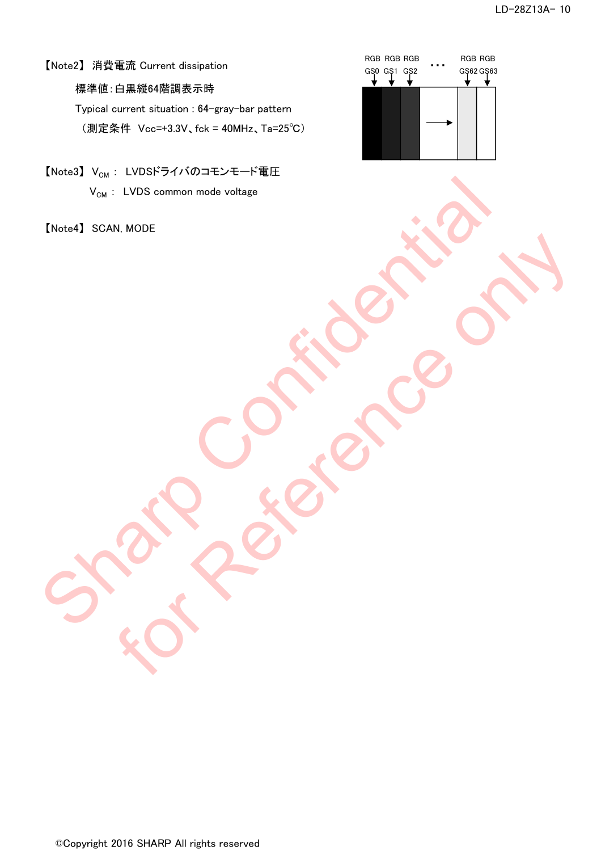### 【Note2】 消費電流 Current dissipation

標準値:白黒縦64階調表示時

Typical current situation : 64-gray-bar pattern (測定条件 Vcc=+3.3V、fck = 40MHz、Ta=25℃)

【Note3】 V<sub>CM</sub>: LVDSドライバのコモンモード電圧  $V_{CM}$  : LVDS common mode voltage Charles SCAN, MODE

【Note4】 SCAN, MODE For Reference only

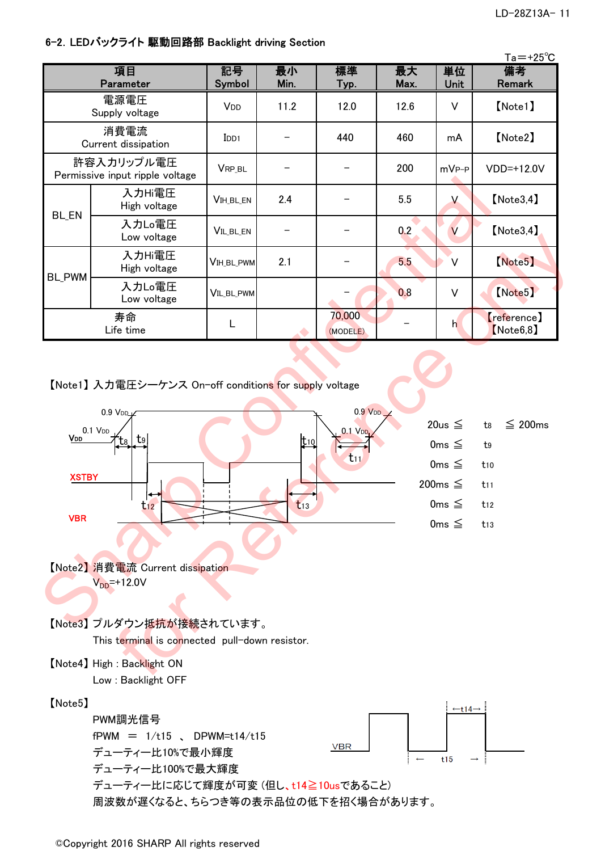### 6-2.LEDバックライト 駆動回路部 Backlight driving Section

|               |                                               |                       |            |                    |            |                   | $Ta = +25^{\circ}C$      |
|---------------|-----------------------------------------------|-----------------------|------------|--------------------|------------|-------------------|--------------------------|
|               | 項目<br>Parameter                               | 記号<br>Symbol          | 最小<br>Min. | 標準<br>Typ.         | 最大<br>Max. | 単位<br><b>Unit</b> | 備考<br>Remark             |
|               | 電源電圧<br>Supply voltage                        | <b>V<sub>DD</sub></b> | 11.2       | 12.0               | 12.6       | V                 | [Note1]                  |
|               | 消費電流<br>Current dissipation                   | $_{\text{IDD1}}$      |            | 440                | 460        | mA                | [Note2]                  |
|               | 許容入カリップル電圧<br>Permissive input ripple voltage | VRP_BL                |            |                    | 200        | $mVP-P$           | VDD=+12.0V               |
|               | 入力Hi電圧<br>High voltage                        | <b>VIH_BL_EN</b>      | 2.4        |                    | 5.5        | $\vee$            | [Note3, 4]               |
| <b>BL_EN</b>  | 入力Lo電圧<br>Low voltage                         | VIL_BL_EN             |            |                    | 0.2        | V                 | [Note3, 4]               |
| <b>BL_PWM</b> | 入力Hi電圧<br>High voltage                        | VIH_BL_PWM            | 2.1        |                    | 5.5        | V                 | Note <sub>5</sub>        |
|               | 入力Lo電圧<br>Low voltage                         | <b>VIL BL PWM</b>     |            |                    | 0.8        | V                 | [Note5]                  |
|               | 寿命<br>Life time                               |                       |            | 70,000<br>(MODELE) |            | h                 | reference)<br>[Note6, 8] |

【Note1】 入力電圧シーケンス On-off conditions for supply voltage 入力電圧シーケンス On-off conditions for supply



周波数が遅くなると、ちらつき等の表示品位の低下を招く場合があります。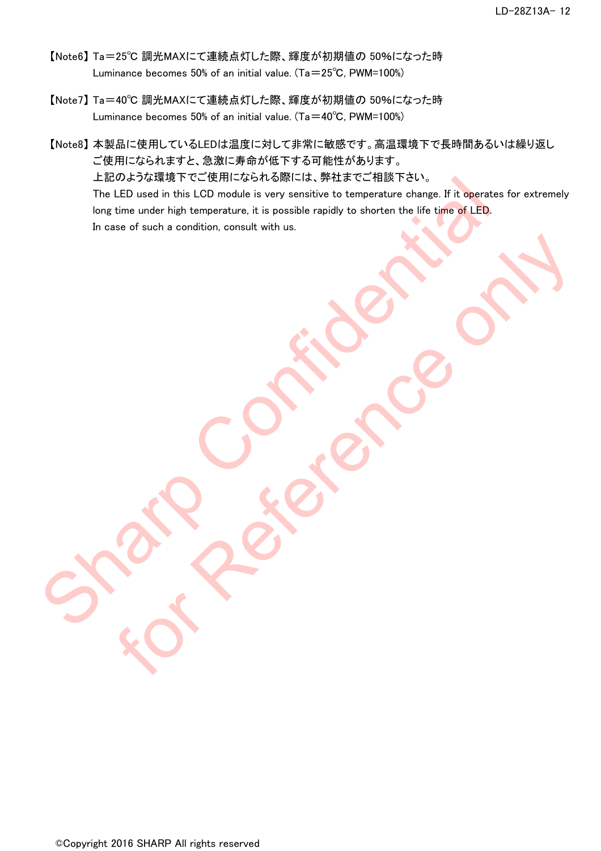- 【Note6】 Ta=25℃ 調光MAXにて連続点灯した際、輝度が初期値の 50%になった時 Luminance becomes 50% of an initial value. (Ta=25℃, PWM=100%)
- 【Note7】 Ta=40℃ 調光MAXにて連続点灯した際、輝度が初期値の 50%になった時 Luminance becomes 50% of an initial value. (Ta= $40^{\circ}$ C, PWM=100%)
- 【Note8】 本製品に使用しているLEDは温度に対して非常に敏感です。高温環境下で長時間あるいは繰り返し ご使用になられますと、急激に寿命が低下する可能性があります。 上記のような環境下でご使用になられる際には、弊社までご相談下さい。 The LED used in this LCD module is very sensitive to temperature change. If it operates for extremely long time under high temperature, it is possible rapidly to shorten the life time of LED. In case of such a condition, consult with us. The LED used in this LCD module is very sensitive to temperature change. If it operates for<br>The LED used in this LCD module is very sensitive to temperature change. If it operates for<br>Iong time under high temperature, it i

For Reference only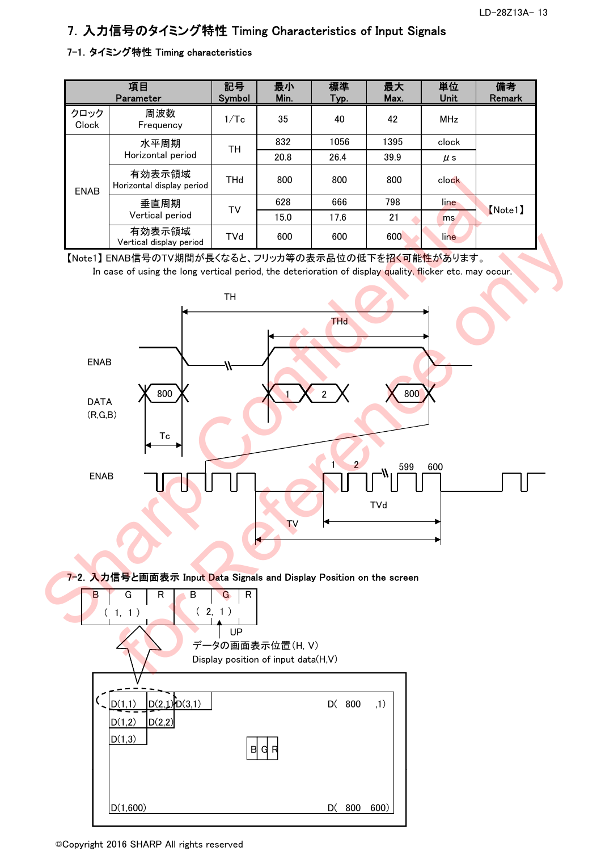### 7.入力信号のタイミング特性 Timing Characteristics of Input Signals

### 7-1.タイミング特性 Timing characteristics

|               | 項目<br>Parameter                     | 記号<br><b>Symbol</b> | 最小<br>Min. | 標準<br>Typ. | 最大<br>Max. | 単位<br><b>Unit</b> | 備考<br><b>Remark</b> |
|---------------|-------------------------------------|---------------------|------------|------------|------------|-------------------|---------------------|
| クロック<br>Clock | 周波数<br>Frequency                    | 1/Tc                | 35         | 40         | 42         | <b>MHz</b>        |                     |
|               | 水平周期                                | <b>TH</b>           | 832        | 1056       | 1395       | clock             |                     |
|               | Horizontal period                   |                     | 20.8       | 26.4       | 39.9       | $\mu$ s           |                     |
|               | 有効表示領域<br>Horizontal display period | <b>THd</b>          | 800        | 800        | 800        | clock             |                     |
| <b>ENAB</b>   | 垂直周期                                | TV                  | 628        | 666        | 798        | line              | [Note1]             |
|               | Vertical period                     |                     | 15.0       | 17.6       | 21         | ms                |                     |
|               | 有効表示領域<br>Vertical display period   | TVd                 | 600        | 600        | 600        | line              |                     |

【Note1】 ENAB信号のTV期間が長くなると、フリッカ等の表示品位の低下を招く可能性があります。 In case of using the long vertical period, the deterioration of display quality, flicker etc. may occur.

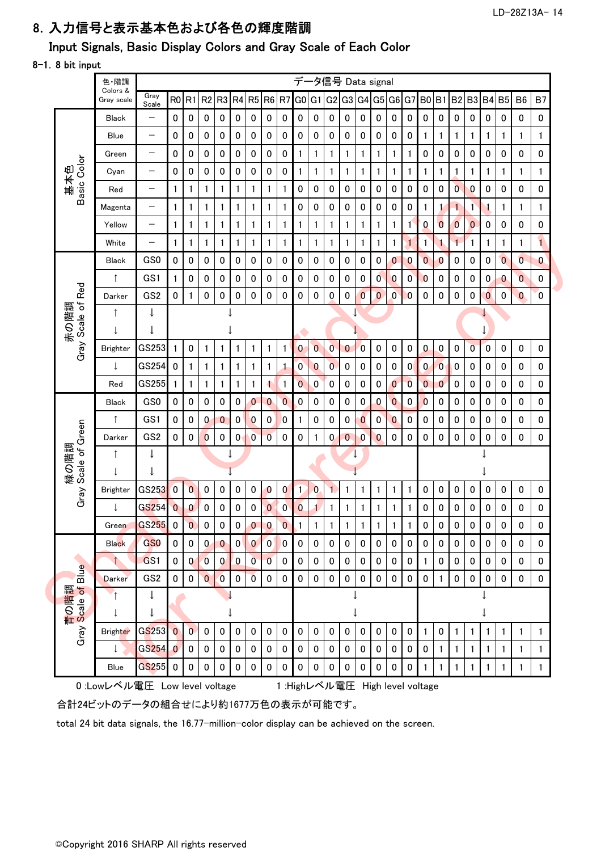#### LD-28Z13A- 14

### 8.入力信号と表示基本色および各色の輝度階調

### Input Signals, Basic Display Colors and Gray Scale of Each Color

#### 8-1.8 bit input

| Basic Color<br>基本色<br>Red<br>Gray Scale of<br>赤の階調 | Colors &<br>Grav scale<br><b>Black</b><br><b>Blue</b><br>Green<br>Cyan<br>Red<br>Magenta<br>Yellow<br>White<br>Black<br>↑<br>Darker<br><b>Brighter</b> | Gray<br>Scale<br>$\qquad \qquad -$<br>$\overline{\phantom{0}}$<br>$\qquad \qquad -$<br>$\overline{\phantom{m}}$<br>$\qquad \qquad -$<br>$\overline{\phantom{0}}$<br>—<br>$\overline{\phantom{0}}$<br>GS <sub>0</sub><br>GS1<br>GS <sub>2</sub><br>$\downarrow$ | RO R1<br>$\pmb{0}$<br>0<br>0<br>0<br>1<br>1<br>1<br>$\mathbf{1}$<br>0<br>1<br>0 | 0<br>0<br>0<br>0<br>1<br>1<br>1<br>1<br>0<br>0<br>1 | R <sub>2</sub><br>0<br>0<br>0<br>0<br>1<br>1<br>1<br>1<br>0<br>0 | R <sub>3</sub><br>0<br>$\pmb{0}$<br>$\pmb{0}$<br>$\pmb{0}$<br>1<br>1<br>1<br>1<br>0 | 0<br>0<br>0<br>0<br>$\mathbf{1}$<br>1<br>$\mathbf{1}$<br>$\mathbf{1}$ | R4 R5 R6 R7<br>0<br>0<br>0<br>0 | 0<br>0<br>0<br>0<br>1<br>1<br>1 | 0<br>0<br>0<br>0<br>$\mathbf{1}$<br>1 | G <sub>0</sub><br>0<br>0<br>1<br>1<br>0<br>0 | G <sub>1</sub><br>$\bf{0}$<br>$\bf{0}$<br>1<br>1<br>$\pmb{0}$ | G <sub>2</sub><br>$\mathbf 0$<br>0<br>1<br>1<br>0 | G3 G4 G5<br>0<br>0<br>1         | 0<br>0<br>1<br>1 | 0<br>0<br>1<br>1 | G6 G7<br>0<br>0<br>1<br>1 | 0<br>$\pmb{0}$<br>1<br>1 | B <sub>0</sub><br>$\mathbf 0$<br>$\mathbf{1}$<br>0<br>$\mathbf{1}$ | <b>B1 B2 B3</b><br>0<br>1<br>0 | 0<br>1<br>0<br>1 | 0<br>1<br>0<br>1 | B4 B5<br>0<br>1<br>0<br>1 | 0<br>1<br>0<br>1 | B <sub>6</sub><br>0<br>1<br>0<br>1 | B <sub>7</sub><br>0<br>$\mathbf 1$<br>0<br>$\mathbf{1}$ |
|----------------------------------------------------|--------------------------------------------------------------------------------------------------------------------------------------------------------|----------------------------------------------------------------------------------------------------------------------------------------------------------------------------------------------------------------------------------------------------------------|---------------------------------------------------------------------------------|-----------------------------------------------------|------------------------------------------------------------------|-------------------------------------------------------------------------------------|-----------------------------------------------------------------------|---------------------------------|---------------------------------|---------------------------------------|----------------------------------------------|---------------------------------------------------------------|---------------------------------------------------|---------------------------------|------------------|------------------|---------------------------|--------------------------|--------------------------------------------------------------------|--------------------------------|------------------|------------------|---------------------------|------------------|------------------------------------|---------------------------------------------------------|
|                                                    |                                                                                                                                                        |                                                                                                                                                                                                                                                                |                                                                                 |                                                     |                                                                  |                                                                                     |                                                                       |                                 |                                 |                                       |                                              |                                                               |                                                   |                                 |                  |                  |                           |                          |                                                                    |                                |                  |                  |                           |                  |                                    |                                                         |
|                                                    |                                                                                                                                                        |                                                                                                                                                                                                                                                                |                                                                                 |                                                     |                                                                  |                                                                                     |                                                                       |                                 |                                 |                                       |                                              |                                                               |                                                   |                                 |                  |                  |                           |                          |                                                                    |                                |                  |                  |                           |                  |                                    |                                                         |
|                                                    |                                                                                                                                                        |                                                                                                                                                                                                                                                                |                                                                                 |                                                     |                                                                  |                                                                                     |                                                                       |                                 |                                 |                                       |                                              |                                                               |                                                   |                                 |                  |                  |                           |                          |                                                                    |                                |                  |                  |                           |                  |                                    |                                                         |
|                                                    |                                                                                                                                                        |                                                                                                                                                                                                                                                                |                                                                                 |                                                     |                                                                  |                                                                                     |                                                                       |                                 |                                 |                                       |                                              |                                                               |                                                   |                                 |                  |                  |                           |                          |                                                                    |                                |                  |                  |                           |                  |                                    |                                                         |
|                                                    |                                                                                                                                                        |                                                                                                                                                                                                                                                                |                                                                                 |                                                     |                                                                  |                                                                                     |                                                                       |                                 |                                 |                                       |                                              |                                                               |                                                   |                                 |                  |                  |                           |                          |                                                                    |                                |                  |                  |                           |                  |                                    |                                                         |
|                                                    |                                                                                                                                                        |                                                                                                                                                                                                                                                                |                                                                                 |                                                     |                                                                  |                                                                                     |                                                                       |                                 |                                 |                                       |                                              |                                                               |                                                   | 0                               | 0                | 0                | 0                         | 0                        | 0                                                                  | 0                              | $\mathbf{0}$     | $\pmb{0}$        | 0                         | 0                | 0                                  | 0                                                       |
|                                                    |                                                                                                                                                        |                                                                                                                                                                                                                                                                |                                                                                 |                                                     |                                                                  |                                                                                     |                                                                       |                                 |                                 |                                       |                                              | 0                                                             | 0                                                 | 0                               | 0                | 0                | 0                         | 0                        | -1                                                                 |                                | 1                | 1                | 1                         | 1                | 1                                  | 1                                                       |
|                                                    |                                                                                                                                                        |                                                                                                                                                                                                                                                                |                                                                                 |                                                     |                                                                  |                                                                                     |                                                                       |                                 |                                 | $\mathbf{1}$                          | 1                                            | 1                                                             | $\mathbf{1}$                                      | 1                               | 1                | 1                | 1                         | $\mathbf{1}$             | 0                                                                  | $\bf{0}$                       | 0                | $\overline{0}$   | 0                         | 0                | 0                                  | 0                                                       |
|                                                    |                                                                                                                                                        |                                                                                                                                                                                                                                                                |                                                                                 |                                                     |                                                                  |                                                                                     |                                                                       |                                 | 1                               | 1                                     | 1                                            | 1                                                             | $\mathbf{1}$                                      |                                 | 1                | 1                | 1                         | $\mathbf{1}$             | $\mathbf{1}$                                                       |                                | $\mathbf{1}$     |                  | 1                         | $\mathbf{1}$     | 1                                  | $\overline{1}$                                          |
|                                                    |                                                                                                                                                        |                                                                                                                                                                                                                                                                |                                                                                 |                                                     |                                                                  |                                                                                     | 0                                                                     | 0                               | 0                               | 0                                     | 0                                            | 0                                                             | 0                                                 | 0                               | 0                | 0                | $\mathbf 0$               | $\bf{0}$                 | $\mathbf 0$                                                        | $\bf{0}$                       | 0                | 0                | 0                         | $\mathbf{0}$     | $\mathbf{0}$                       | 0                                                       |
|                                                    |                                                                                                                                                        |                                                                                                                                                                                                                                                                |                                                                                 |                                                     |                                                                  | 0                                                                                   | 0                                                                     | 0                               | 0                               | 0                                     | 0                                            | 0                                                             | 0                                                 | 0                               | 0                | $\mathbf{0}$     | $\bf{0}$                  | 0                        | $\theta$                                                           | 0                              | 0                | 0                | 0                         | $\bf{0}$         | $\overline{0}$                     | 0                                                       |
|                                                    |                                                                                                                                                        |                                                                                                                                                                                                                                                                |                                                                                 |                                                     | 0                                                                | 0                                                                                   | 0                                                                     | 0                               | 0                               | $\pmb{0}$                             | 0                                            | $\bf{0}$                                                      | 0                                                 | 0                               | $\overline{0}$   | $\overline{0}$   | $\boldsymbol{0}$          | $\bf{0}$                 | 0                                                                  | 0                              | 0                | 0                | $\mathbf{0}$              | 0                | $\mathbf{0}$                       | 0                                                       |
|                                                    |                                                                                                                                                        |                                                                                                                                                                                                                                                                |                                                                                 |                                                     |                                                                  |                                                                                     |                                                                       |                                 |                                 |                                       |                                              |                                                               |                                                   |                                 |                  |                  |                           |                          |                                                                    |                                |                  |                  |                           |                  |                                    |                                                         |
|                                                    |                                                                                                                                                        |                                                                                                                                                                                                                                                                |                                                                                 |                                                     |                                                                  |                                                                                     |                                                                       |                                 |                                 |                                       |                                              |                                                               |                                                   |                                 |                  |                  |                           |                          |                                                                    |                                |                  |                  | J                         |                  |                                    |                                                         |
|                                                    |                                                                                                                                                        | GS253                                                                                                                                                                                                                                                          | $\mathbf{1}$                                                                    | 0                                                   | 1                                                                | 1                                                                                   | $\mathbf{1}$                                                          | 1                               | 1                               | $\mathbf{1}$                          | $\bf{0}$                                     | $\overline{0}$                                                | $\mathbf{0}$                                      | $\mathbf{0}$                    | $\overline{0}$   | $\bf{0}$         | 0                         | $\pmb{0}$                | $\bf{0}$                                                           | $\bf{0}$                       | 0                | $\overline{0}$   | 0                         | 0                | 0                                  | 0                                                       |
|                                                    | $\downarrow$                                                                                                                                           | GS254                                                                                                                                                                                                                                                          | 0                                                                               | 1                                                   | 1                                                                | 1                                                                                   | $\mathbf{1}$                                                          | 1                               | 1                               | $\mathbf{1}$                          | $\boldsymbol{0}$                             | $\overline{0}$                                                | $\overline{0}$                                    | 0                               | 0                | 0                | 0                         | $\overline{0}$           | $\bf{0}$                                                           | $\bf{0}$                       | 0                | 0                | 0                         | 0                | 0                                  | 0                                                       |
|                                                    | Red                                                                                                                                                    | GS255                                                                                                                                                                                                                                                          | 1                                                                               | 1                                                   | 1                                                                | 1                                                                                   | $\mathbf{1}$                                                          | 1                               | 1                               | 1                                     | $\overline{0}$                               | $\boldsymbol{0}$                                              | 0                                                 | 0                               | 0                | $\pmb{0}$        | $\mathbf{0}$              | $\overline{0}$           | $\overline{0}$                                                     | $\mathbf 0$                    | 0                | 0                | 0                         | 0                | 0                                  | 0                                                       |
|                                                    | Black                                                                                                                                                  | GS0                                                                                                                                                                                                                                                            | 0                                                                               | 0                                                   | 0                                                                | 0                                                                                   | 0                                                                     | $\bf{0}$                        | $\mathbf{0}$                    | $\overline{0}$                        | 0                                            | 0                                                             | 0                                                 | 0                               | 0                | $\bf{0}$         | $\boldsymbol{0}$          | 0                        | $\bf{0}$                                                           | 0                              | 0                | 0                | 0                         | 0                | 0                                  | 0                                                       |
|                                                    | ↑                                                                                                                                                      | GS1                                                                                                                                                                                                                                                            | 0                                                                               | 0                                                   | 0                                                                | $\boldsymbol{0}$                                                                    | 0                                                                     | 0                               | 0                               | $\mathbf{0}$                          | 1                                            | 0                                                             | 0                                                 | 0                               | 0                | $\boldsymbol{0}$ | $\bf{0}$                  | 0                        | 0                                                                  | 0                              | 0                | 0                | 0                         | 0                | 0                                  | 0                                                       |
|                                                    | Darker                                                                                                                                                 | GS <sub>2</sub>                                                                                                                                                                                                                                                | 0                                                                               | 0                                                   | $\bf{0}$                                                         | 0                                                                                   | 0                                                                     | 0                               | $\mathbf{0}$                    | 0                                     | 0                                            | 1                                                             | 0                                                 | 0                               | 0                | $\bf{0}$         | 0                         | 0                        | 0                                                                  | 0                              | 0                | 0                | 0                         | $\Omega$         | 0                                  | 0                                                       |
| Scale of Green<br>緑の階調                             | ſ                                                                                                                                                      | $\downarrow$                                                                                                                                                                                                                                                   |                                                                                 |                                                     |                                                                  | $\downarrow$                                                                        |                                                                       |                                 |                                 |                                       |                                              |                                                               |                                                   |                                 |                  |                  |                           |                          |                                                                    |                                |                  |                  |                           |                  |                                    |                                                         |
|                                                    |                                                                                                                                                        |                                                                                                                                                                                                                                                                |                                                                                 |                                                     |                                                                  |                                                                                     |                                                                       |                                 |                                 |                                       |                                              |                                                               |                                                   |                                 |                  |                  |                           |                          |                                                                    |                                |                  |                  |                           |                  |                                    |                                                         |
| Gray                                               | <b>Brighter</b>                                                                                                                                        | GS253                                                                                                                                                                                                                                                          | $\overline{0}$                                                                  | $\overline{0}$                                      | 0                                                                | 0                                                                                   | 0                                                                     | 0                               | $\bf{0}$                        | $\mathbf{0}$                          | 1.                                           | $\bf{0}$                                                      | 1.                                                | 1                               | 1                | 1                | 1                         | 1                        | 0                                                                  | 0                              | 0                | 0                | 0                         | 0                | 0                                  | 0                                                       |
|                                                    | $\downarrow$                                                                                                                                           | GS254                                                                                                                                                                                                                                                          | $\overline{0}$                                                                  | $\bf{0}$                                            | 0                                                                | $\pmb{0}$                                                                           | 0                                                                     | 0                               | 0                               | $\boldsymbol{0}$                      | $\bf{0}$                                     | 1                                                             | $\mathbf{1}$                                      |                                 | 1                | 1                | 1                         | 1                        | 0                                                                  | 0                              | 0                | 0                | 0                         | 0                | 0                                  | 0                                                       |
|                                                    | Green                                                                                                                                                  | <b>GS255</b>                                                                                                                                                                                                                                                   | $\pmb{0}$                                                                       | $\overline{\mathbf{0}}$                             | ${\bf 0}$                                                        | $\pmb{0}$                                                                           | $\pmb{0}$                                                             | $\mathbf{0}$                    | $\mathbf{0}$                    | $\overline{\mathbf{0}}$               | $\mathbf{1}$                                 | $\mathbf{1}$                                                  | $\mathbf{1}$                                      | $\mathbf{1}$                    | 1                | $\mathbf{1}$     | $\mathbf{1}$              | $\mathbf{1}$             | $\pmb{0}$                                                          | $\pmb{0}$                      | $\pmb{0}$        | $\pmb{0}$        | $\pmb{0}$                 | $\pmb{0}$        | $\pmb{0}$                          | 0                                                       |
|                                                    | <b>Black</b>                                                                                                                                           | GS <sub>0</sub>                                                                                                                                                                                                                                                | $\overline{0}$                                                                  | $\mathbf 0$                                         | $\mathbf{0}$                                                     | $\mathbf{0}$                                                                        | $\mathbf{0}$                                                          | $\overline{0}$                  | $\boxed{0}$                     | $\overline{0}$                        | $\pmb{0}$                                    | $\mathbf 0$                                                   | $\mathbf 0$                                       | $\mathbf 0$                     | $\mathbf 0$      | $\mathbf 0$      | $\mathbf 0$               | $\mathbf 0$              | $\mathbf 0$                                                        | 0                              | $\Omega$         | 0                | 0                         | $\mathbf 0$      | 0                                  | 0                                                       |
| Blue                                               |                                                                                                                                                        | GS1                                                                                                                                                                                                                                                            | $\mathbf{0}$                                                                    | $\mathbf{0}$                                        | $\overline{0}$                                                   | $\mathbf{0}$                                                                        | $\overline{0}$                                                        | $\overline{0}$                  | $\overline{0}$                  | 0                                     | $\mathbf 0$                                  | $\mathbf 0$                                                   | $\mathbf 0$                                       | $\mathbf 0$                     | $\mathbf{0}$     | $\mathbf 0$      | $\mathbf 0$               | $\pmb{0}$                | $\overline{1}$                                                     | $\pmb{0}$                      | $\mathbf{0}$     | $\bf{0}$         | $\mathbf 0$               | $\mathbf 0$      | $\mathbf 0$                        | $\mathbf{0}$                                            |
|                                                    | <b>Darker</b>                                                                                                                                          | GS <sub>2</sub>                                                                                                                                                                                                                                                | $\mathbf{0}$                                                                    | $\mathbf 0$                                         | $\overline{0}$                                                   | $\bullet$                                                                           | $\pmb{0}$                                                             | $\overline{0}$                  | $\mathbf 0$                     | $\mathbf 0$                           | $\mathbf 0$                                  | $\mathbf 0$                                                   | $\mathbf 0$                                       | $\mathbf 0$                     | $\mathbf 0$      | $\mathbf{0}$     | $\mathbf 0$               | $\pmb{0}$                | $\mathbf 0$                                                        | $\mathbf{1}$                   | $\mathbf 0$      | $\mathbf 0$      | $\mathbf 0$               | $\pmb{0}$        | $\mathbf 0$                        | $\mathbf 0$                                             |
| 青の階調<br>Scale of I<br>Scale                        |                                                                                                                                                        | $\downarrow$                                                                                                                                                                                                                                                   |                                                                                 |                                                     |                                                                  |                                                                                     |                                                                       |                                 |                                 |                                       |                                              |                                                               |                                                   |                                 |                  |                  |                           |                          |                                                                    |                                |                  |                  |                           |                  |                                    |                                                         |
|                                                    |                                                                                                                                                        | $\downarrow$                                                                                                                                                                                                                                                   |                                                                                 |                                                     |                                                                  |                                                                                     |                                                                       |                                 |                                 |                                       |                                              |                                                               |                                                   |                                 |                  |                  |                           |                          |                                                                    |                                |                  |                  |                           |                  |                                    |                                                         |
| Gray                                               | <b>Brighter</b>                                                                                                                                        | GS253                                                                                                                                                                                                                                                          | $\overline{0}$                                                                  | $\overline{0}$                                      | $\bf{0}$                                                         | 0                                                                                   | $\pmb{0}$                                                             | 0                               | $\mathbf 0$                     | 0                                     | 0                                            | $\mathbf 0$                                                   | $\bf{0}$                                          | 0                               | 0                | 0                | 0                         | 0                        |                                                                    | $\mathbf 0$                    | 1                | 1                | 1                         | $\mathbf{1}$     |                                    |                                                         |
|                                                    |                                                                                                                                                        | GS254 0                                                                                                                                                                                                                                                        |                                                                                 | $\mathbf 0$                                         | $\mathbf 0$                                                      | $\mathbf 0$                                                                         | $\mathbf 0$                                                           | 0                               | 0                               | 0                                     | $\mathbf 0$                                  | $\mathbf{0}$                                                  | $\mathbf 0$                                       | 0                               | $\mathbf{0}$     | $\mathbf 0$      | $\pmb{0}$                 | $\mathbf{0}$             | $\mathbf 0$                                                        |                                |                  |                  |                           | 1                | 1                                  | 1                                                       |
|                                                    | Blue                                                                                                                                                   | $GS255$ 0                                                                                                                                                                                                                                                      |                                                                                 | 0                                                   | $\mathbf 0$                                                      | $\mathbf{0}$                                                                        | $\mathbf 0$                                                           | 0                               | 0                               | 0                                     | 0                                            | $\mathbf{0}$                                                  | $\mathbf 0$                                       | 0                               | 0                | $\mathbf 0$      | 0                         | 0                        |                                                                    |                                |                  |                  |                           | 1                | 1                                  |                                                         |
| 合計24ビットのデータの組合せにより約1677万色の表示が可能です。                 | 0 :Lowレベル電圧 Low level voltage                                                                                                                          |                                                                                                                                                                                                                                                                |                                                                                 |                                                     |                                                                  |                                                                                     |                                                                       |                                 |                                 |                                       |                                              |                                                               |                                                   | 1: Highレベル電圧 High level voltage |                  |                  |                           |                          |                                                                    |                                |                  |                  |                           |                  |                                    |                                                         |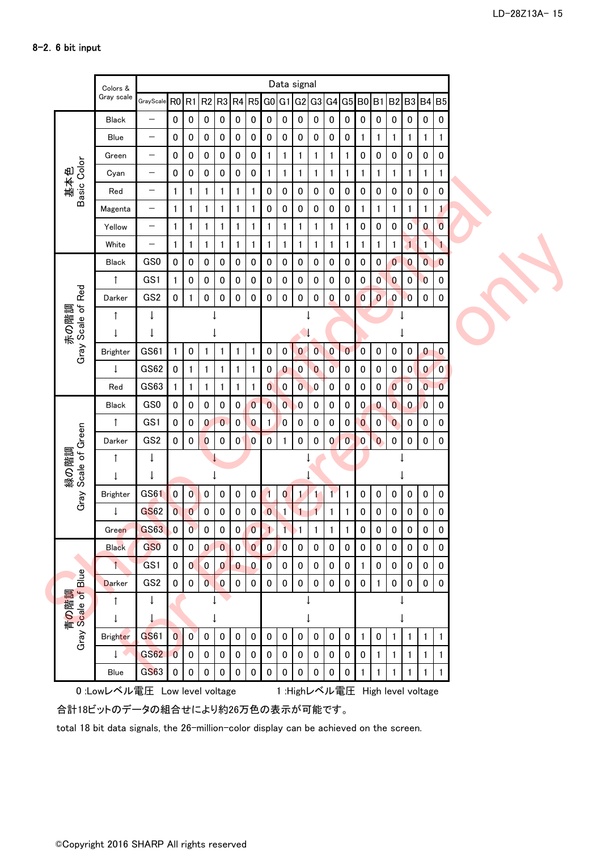|                         | Colors &        |                          |                |                |                |                  |              |                         |                                                   |                         | Data signal             |                |                  |                |                |                |                         |                         |                |                |  |
|-------------------------|-----------------|--------------------------|----------------|----------------|----------------|------------------|--------------|-------------------------|---------------------------------------------------|-------------------------|-------------------------|----------------|------------------|----------------|----------------|----------------|-------------------------|-------------------------|----------------|----------------|--|
|                         | Gray scale      | GrayScale RO R1          |                |                |                |                  |              |                         |                                                   |                         | R2 R3 R4 R5 G0 G1 G2 G3 |                |                  |                |                |                | G4 G5 B0 B1 B2 B3 B4 B5 |                         |                |                |  |
|                         | <b>Black</b>    | $\qquad \qquad -$        | 0              | $\pmb{0}$      | 0              | $\pmb{0}$        | $\pmb{0}$    | 0                       | 0                                                 | $\pmb{0}$               | $\bf{0}$                | $\pmb{0}$      | $\pmb{0}$        | 0              | $\mathbf 0$    | $\pmb{0}$      | $\pmb{0}$               | $\pmb{0}$               | $\pmb{0}$      | 0              |  |
|                         | Blue            | $\overline{\phantom{m}}$ | 0              | $\pmb{0}$      | $\pmb{0}$      | $\pmb{0}$        | $\pmb{0}$    | 0                       | 0                                                 | $\pmb{0}$               | $\pmb{0}$               | $\pmb{0}$      | $\pmb{0}$        | 0              | 1              | 1              | 1                       | 1                       | $\mathbf{1}$   |                |  |
| Basic Color<br>基本色      | Green           | $\overline{\phantom{m}}$ | 0              | $\pmb{0}$      | 0              | $\pmb{0}$        | 0            | 0                       | 1                                                 | 1                       | 1                       | $\mathbf{1}$   | $\mathbf{1}$     |                | 0              | 0              | 0                       | $\pmb{0}$               | 0              | 0              |  |
|                         | Cyan            | $\overline{\phantom{m}}$ | 0              | $\pmb{0}$      | 0              | 0                | 0            | 0                       | 1                                                 | $\mathbf{1}$            | 1                       | 1              | $\mathbf{1}$     |                | 1              | 1              | 1                       | 1                       | $\mathbf{1}$   |                |  |
|                         | Red             | $\qquad \qquad -$        | 1              | 1              | 1              | 1                | $\mathbf{1}$ | 1                       | 0                                                 | $\pmb{0}$               | 0                       | $\pmb{0}$      | 0                | 0              | 0              | 0              | 0                       | 0                       | 0              | 0              |  |
|                         | Magenta         | -                        | $\mathbf{1}$   | 1              | 1              | 1                | $\mathbf{1}$ | 1                       | 0                                                 | $\pmb{0}$               | 0                       | $\pmb{0}$      | 0                | 0              | 1              | 1              | 1                       | 1                       | $\mathbf{1}$   |                |  |
|                         | Yellow          | $\qquad \qquad -$        | $\mathbf{1}$   | 1              | 1              | 1                | $\mathbf{1}$ | 1                       | 1                                                 | $\mathbf{1}$            | 1                       | 1              | $\mathbf{1}$     | 1              | $\pmb{0}$      | $\pmb{0}$      | 0                       | $\boldsymbol{0}$        | $\bf{0}$       | $\overline{0}$ |  |
|                         | White           |                          | 1              | 1              | 1              | 1                | $\mathbf{1}$ | 1                       | 1                                                 | $\mathbf{1}$            | 1                       | 1              | $\mathbf{1}$     | 1              | 1              | 1              | 1                       | $\mathbf{1}$            | $\mathbf{1}$   |                |  |
|                         | <b>Black</b>    | GS0                      | $\mathbf 0$    | $\pmb{0}$      | 0              | $\pmb{0}$        | 0            | 0                       | $\pmb{0}$                                         | $\pmb{0}$               | $\pmb{0}$               | $\pmb{0}$      | $\pmb{0}$        | 0              | $\bf{0}$       | $\pmb{0}$      | $\bf{0}$                | $\overline{0}$          | $\overline{0}$ | $\bf{0}$       |  |
|                         | $\uparrow$      | GS1                      | $\mathbf{1}$   | $\pmb{0}$      | 0              | $\pmb{0}$        | $\pmb{0}$    | 0                       | $\pmb{0}$                                         | $\pmb{0}$               | $\pmb{0}$               | $\pmb{0}$      | $\pmb{0}$        | 0              | $\pmb{0}$      | $\mathbf{0}$   | $\mathbf{0}$            | $\pmb{0}$               | $\bf{0}$       | 0              |  |
| Gray Scale of Red       | Darker          | GS <sub>2</sub>          | $\pmb{0}$      | $\mathbf{1}$   | 0              | $\pmb{0}$        | 0            | 0                       | 0                                                 | $\pmb{0}$               | $\pmb{0}$               | $\pmb{0}$      | $\bf{0}$         | 0              | $\overline{0}$ | $\overline{0}$ | $\pmb{0}$               | $\overline{0}$          | $\pmb{0}$      | 0              |  |
| 霝                       | $\uparrow$      | ↓                        |                |                |                |                  |              |                         |                                                   |                         |                         |                |                  |                |                |                |                         |                         |                |                |  |
| 赤の階                     | T               |                          |                |                |                |                  |              |                         |                                                   |                         |                         |                |                  |                |                |                |                         |                         |                |                |  |
|                         | <b>Brighter</b> | GS61                     | $\mathbf{1}$   | $\pmb{0}$      | 1              | 1                | $\mathbf{1}$ | 1                       | $\pmb{0}$                                         | $\pmb{0}$               | $\overline{0}$          | $\overline{0}$ | $\overline{0}$   | $\overline{0}$ | $\overline{0}$ | $\pmb{0}$      | 0                       | $\pmb{0}$               | $\bf{0}$       | $\mathbf 0$    |  |
|                         | $\downarrow$    | GS62                     | $\pmb{0}$      | $\mathbf{1}$   | 1              | $\mathbf{1}$     | $\mathbf{1}$ | 1                       | $\pmb{0}$                                         | $\pmb{0}$               | $\pmb{0}$               | $\bf{0}$       | $\mathbf{0}$     | 0              | $\mathbf 0$    | $\bf{0}$       | $\pmb{0}$               | $\mathbf 0$             | $\bf{0}$       | $\mathbf{0}$   |  |
|                         | Red             | GS63                     | 1              | $\mathbf{1}$   | 1              | $\mathbf{1}$     | $\mathbf{1}$ | 1                       | $\overline{\mathbf{0}}$                           | $\pmb{0}$               | $\overline{0}$          | $\pmb{0}$      | $\pmb{0}$        | 0              | $\pmb{0}$      | $\pmb{0}$      | $\overline{0}$          | $\overline{\mathbf{0}}$ | $\overline{0}$ | $\mathbf{0}$   |  |
|                         | <b>Black</b>    | GS0                      | 0              | $\pmb{0}$      | $\pmb{0}$      | $\pmb{0}$        | $\pmb{0}$    | $\bf{0}$                | $\overline{0}$                                    | $\overline{\mathbf{0}}$ | $\mathbf{0}$            | $\pmb{0}$      | $\pmb{0}$        | 0              | $\mathbf{0}$   | $\mathbf{0}$   | $\bf{0}$                | $\bf{0}$                | $\bf{0}$       | 0              |  |
|                         | $\uparrow$      | GS1                      | 0              | $\pmb{0}$      | $\bf{0}$       | $\pmb{0}$        | $\pmb{0}$    | $\boldsymbol{0}$        | 1                                                 | $\overline{0}$          | 0                       | $\pmb{0}$      | $\pmb{0}$        | 0              | $\bf{0}$       | $\pmb{0}$      | $\bf{0}$                | $\pmb{0}$               | $\pmb{0}$      | 0              |  |
| 緑の階調<br>Scale of Green  | Darker          | GS <sub>2</sub>          | 0              | $\pmb{0}$      | $\bf{0}$       | $\pmb{0}$        | $\pmb{0}$    | 0                       | 0                                                 |                         | $\pmb{0}$               | $\pmb{0}$      | $\boldsymbol{0}$ | $\mathbf{0}$   | $\bf{0}$       | $\mathbf{0}$   | $\pmb{0}$               | $\pmb{0}$               | $\pmb{0}$      | 0              |  |
|                         | 1               | $\downarrow$             |                |                |                |                  |              |                         |                                                   |                         |                         |                |                  |                |                |                |                         |                         |                |                |  |
|                         |                 | T                        |                |                |                |                  |              |                         |                                                   |                         |                         |                |                  |                |                |                |                         |                         |                |                |  |
| Gray                    | <b>Brighter</b> | GS61                     | $\overline{0}$ | $\mathbf{0}$   | 0              | $\pmb{0}$        | $\pmb{0}$    | 0                       | 1                                                 | $\mathbf{0}$            | 1                       | $\mathbf{1}$   | $\mathbf{1}$     | $\mathbf{1}$   | 0              | $\pmb{0}$      | 0                       | $\bf{0}$                | $\pmb{0}$      | 0              |  |
|                         | ↓               | GS62                     | $\overline{0}$ | $\mathbf{0}$   | 0              | $\pmb{0}$        | 0            | 0                       | $\mathbf{0}$                                      | $\mathbf{1}$            | 1                       | 1              | $\mathbf{1}$     |                | 0              | $\pmb{0}$      | 0                       | 0                       | 0              | 0              |  |
|                         | Green           | <b>GS63</b>              | $\mathbf{0}$   | $\overline{0}$ | $\pmb{0}$      | $\pmb{0}$        | $\pmb{0}$    | $\overline{\mathbf{0}}$ | $\begin{array}{c} \bullet \\ \bullet \end{array}$ |                         | 11                      | 1              | 1                | 1              | $\pmb{0}$      | $\pmb{0}$      | $\pmb{0}$               | $\pmb{0}$               | 0              | 0              |  |
| Blue                    | <b>Black</b>    | G <sub>SO</sub>          | $\mathbf{0}$   | $\bf{0}$       | $\mathbf{0}$   | $\overline{0}$   | $\mathbf{0}$ | $\overline{0}$          | $\mathbf{0}$                                      | $\overline{0}$          | $\pmb{0}$               | $\pmb{0}$      | $\mathbf 0$      | 0              | $\mathbf 0$    | $\mathbf 0$    | $\pmb{0}$               | $\pmb{0}$               | 0              | 0              |  |
|                         |                 | GS1                      | $\mathbf{0}$   | $\mathbf{0}$   | $\overline{0}$ | $\boldsymbol{0}$ | $\mathbf{0}$ | $\mathbf 0$             | $\mathbf{0}$                                      | $\mathbf 0$             | $\pmb{0}$               | $\pmb{0}$      | $\pmb{0}$        | 0              | 1              | $\pmb{0}$      | $\pmb{0}$               | $\mathbf 0$             | $\mathbf 0$    | 0              |  |
|                         | Darker          | GS <sub>2</sub>          | $\mathbf{0}$   | $\pmb{0}$      | $\overline{0}$ | $\overline{0}$   | $\pmb{0}$    | 0                       | $\mathbf 0$                                       | $\pmb{0}$               | $\pmb{0}$               | $\pmb{0}$      | $\pmb{0}$        | $\pmb{0}$      | $\mathbf 0$    | $\mathbf{1}$   | $\pmb{0}$               | $\pmb{0}$               | $\pmb{0}$      | $\mathbf 0$    |  |
|                         |                 | $\downarrow$             |                |                |                |                  |              |                         |                                                   |                         |                         |                |                  |                |                |                |                         |                         |                |                |  |
|                         |                 |                          |                |                |                |                  |              |                         |                                                   |                         |                         |                |                  |                |                |                |                         |                         |                |                |  |
| 青の階調<br>Gray Scale of E | <b>Brighter</b> | GS61                     | $\overline{0}$ | $\overline{0}$ | $\pmb{0}$      | $\pmb{0}$        | $\pmb{0}$    | $\pmb{0}$               | $\mathbf{0}$                                      | $\pmb{0}$               | $\pmb{0}$               | $\pmb{0}$      | $\pmb{0}$        | $\mathbf 0$    | $\mathbf{1}$   | $\pmb{0}$      | 1                       | $\mathbf{1}$            | $\mathbf{1}$   |                |  |
|                         |                 |                          |                |                | $\bf{0}$       | $\pmb{0}$        | $\pmb{0}$    | 0                       | $\mathbf 0$                                       | $\mathbf 0$             | $\mathbf 0$             | 0              | $\pmb{0}$        | $\mathbf 0$    | $\mathbf 0$    | $\mathbf{1}$   | $\mathbf{1}$            | $\mathbf{1}$            | $\mathbf{1}$   |                |  |
|                         |                 | GS62                     | $\overline{0}$ | $\pmb{0}$      |                |                  |              |                         |                                                   |                         |                         |                |                  |                |                |                |                         |                         |                |                |  |

合計18ビットのデータの組合せにより約26万色の表示が可能です。

total 18 bit data signals, the 26-million-color display can be achieved on the screen.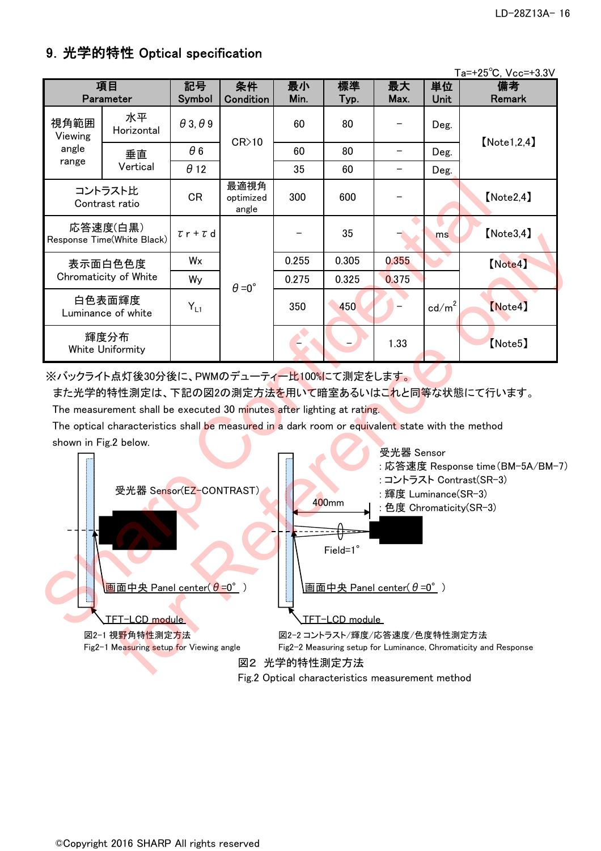### 9.光学的特性 Optical specification

|                       |                                                                                                                                                                                                                                                   |                        |                            |            |            |                                    |                 | Ta=+25°C, Vcc=+3.3V                                                                                          |
|-----------------------|---------------------------------------------------------------------------------------------------------------------------------------------------------------------------------------------------------------------------------------------------|------------------------|----------------------------|------------|------------|------------------------------------|-----------------|--------------------------------------------------------------------------------------------------------------|
|                       | 項目<br>Parameter                                                                                                                                                                                                                                   | 記号<br>Symbol           | 条件<br>Condition            | 最小<br>Min. | 標準<br>Typ. | 最大<br>Max.                         | 単位<br>Unit      | 備考<br>Remark                                                                                                 |
| 視角範囲<br>Viewing       | 水平<br>Horizontal                                                                                                                                                                                                                                  | $\theta$ 3, $\theta$ 9 | CR>10                      | 60         | 80         |                                    | Deg.            | [Note 1, 2, 4]                                                                                               |
| angle                 | 垂直                                                                                                                                                                                                                                                | $\theta$ 6             |                            | 60         | 80         | $\qquad \qquad -$                  | Deg.            |                                                                                                              |
| range                 | Vertical                                                                                                                                                                                                                                          | $\theta$ 12            |                            | 35         | 60         |                                    | Deg.            |                                                                                                              |
|                       | コントラスト比<br>Contrast ratio                                                                                                                                                                                                                         | <b>CR</b>              | 最適視角<br>optimized<br>angle | 300        | 600        |                                    |                 | [Note2, 4]                                                                                                   |
|                       | 応答速度(白黒)<br>Response Time(White Black)                                                                                                                                                                                                            | $\tau$ r + $\tau$ d    |                            |            | 35         |                                    | ms              | [Note3, 4]                                                                                                   |
|                       | 表示面白色色度                                                                                                                                                                                                                                           | Wx                     |                            | 0.255      | 0.305      | 0.355                              |                 | [Note4]                                                                                                      |
|                       | Chromaticity of White                                                                                                                                                                                                                             | Wy                     | $\theta = 0^{\circ}$       | 0.275      | 0.325      | 0.375                              |                 |                                                                                                              |
|                       | 白色表面輝度<br>Luminance of white                                                                                                                                                                                                                      | $Y_{L1}$               |                            | 350        | 450        |                                    | $\text{cd/m}^2$ | [Note4]                                                                                                      |
|                       | 輝度分布<br>White Uniformity                                                                                                                                                                                                                          |                        |                            |            |            | 1.33                               |                 | [Note5]                                                                                                      |
| shown in Fig.2 below. | ※バックライト点灯後30分後に、PWMのデューティー比100%にて測定をします。<br>The measurement shall be executed 30 minutes after lighting at rating.<br>The optical characteristics shall be measured in a dark room or equivalent state with the method<br>受光器 Sensor(EZ-CONTRAST) |                        |                            |            |            | 受光器 Sensor<br>: 輝度 Luminance(SR-3) |                 | また光学的特性測定は、下記の図2の測定方法を用いて暗室あるいはこれと同等な状態にて行います。<br>: 応答速度 Response time(BM-5A/BM-i<br>: コントラスト Contrast(SR-3) |
|                       | 400mm<br>: 色度 Chromaticity(SR-3)<br>Field=1°<br><mark>画面中央 Panel center(θ =0°</mark> )<br><b>画面中央 Panel center(θ=0°)</b><br>TFT-LCD module<br>TFT-LCD module                                                                                      |                        |                            |            |            |                                    |                 |                                                                                                              |

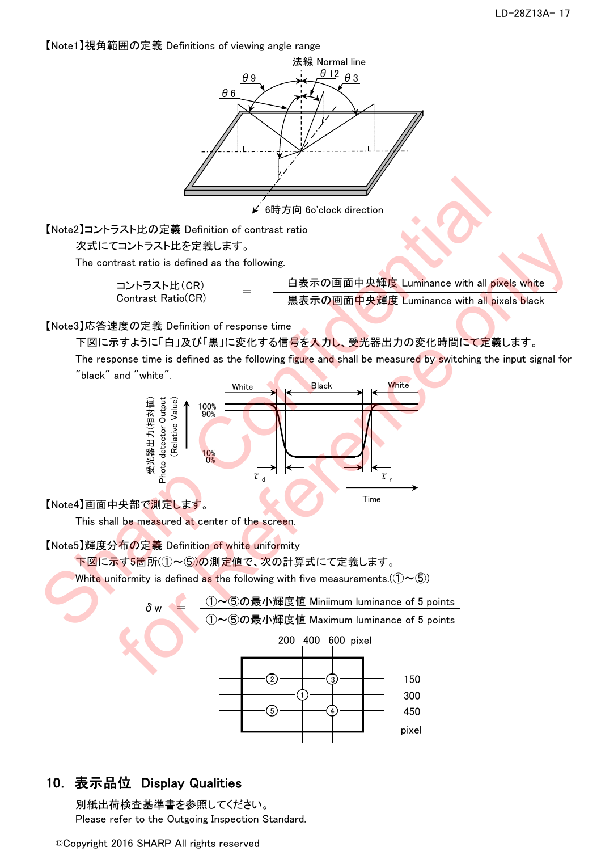【Note1】視角範囲の定義 Definitions of viewing angle range



### 10. 表示品位 Display Qualities

別紙出荷検査基準書を参照してください。 Please refer to the Outgoing Inspection Standard.

©Copyright 2016 SHARP All rights reserved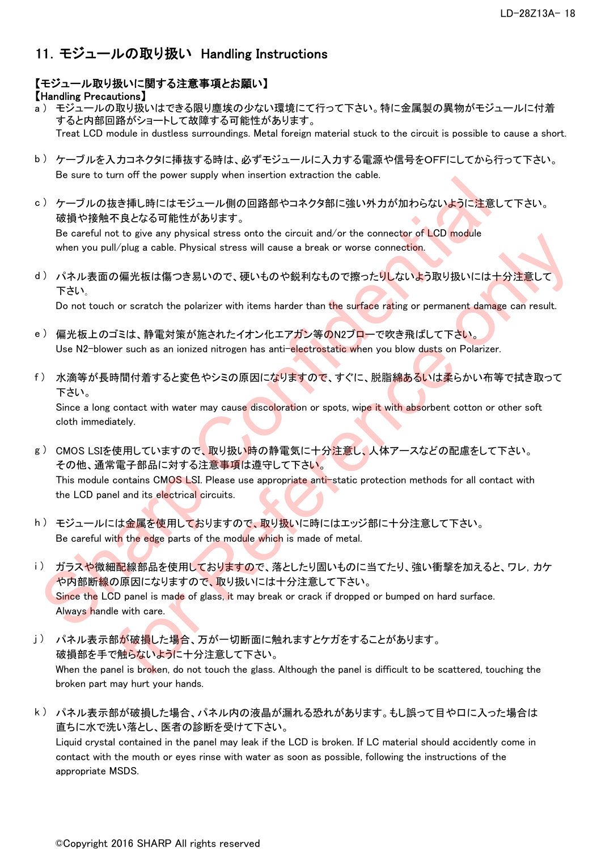### 11.モジュールの取り扱い Handling Instructions

### 【モジュール取り扱いに関する注意事項とお願い】

#### 【Handling Precautions】

- a ) モジュールの取り扱いはできる限り塵埃の少ない環境にて行って下さい。特に金属製の異物がモジュールに付着 すると内部回路がショートして故障する可能性があります。 Treat LCD module in dustless surroundings. Metal foreign material stuck to the circuit is possible to cause a short.
- b ) ケーブルを入力コネクタに挿抜する時は、必ずモジュールに入力する電源や信号をOFFにしてから行って下さい。 Be sure to turn off the power supply when insertion extraction the cable.
- c ) ケーブルの抜き挿し時にはモジュール側の回路部やコネクタ部に強い外力が加わらないように注意して下さい。 破損や接触不良となる可能性があります。

Be careful not to give any physical stress onto the circuit and/or the connector of LCD module when you pull/plug a cable. Physical stress will cause a break or worse connection.

d ) パネル表面の偏光板は傷つき易いので、硬いものや鋭利なもので擦ったりしないよう取り扱いには十分注意して 下さい。

Do not touch or scratch the polarizer with items harder than the surface rating or permanent damage can result.

- e )偏光板上のゴミは、静電対策が施されたイオン化エアガン等のN2ブローで吹き飛ばして下さい。 Use N2-blower such as an ionized nitrogen has anti-electrostatic when you blow dusts on Polarizer.
- f) 水滴等が長時間付着すると変色やシミの原因になりますので、すぐに、脱脂<mark>綿あるいは柔</mark>らかい布等で拭き取って 下さい。

Since a long contact with water may cause discoloration or spots, wipe it with absorbent cotton or other soft cloth immediately.

- g) CMOS LSIを使用していますので、取り扱い時の静電気に十分注意し、人体アースなどの配慮をして下さい。 その他、通常電子部品に対する注<mark>意事項</mark>は遵守して下さい。 This module contains CMOS LSI. Please use appropriate anti-static protection methods for all contact with the LCD panel and its electrical circuits.
- h ) モジュールには金属を使用しておりますので、取り扱いに時にはエッジ部に十分注意して下さい。 Be careful with the edge parts of the module which is made of metal.
- i ) ガラスや微細配線部品を使用しておりますので、落としたり固いものに当てたり、強い衝撃を加えると、ワレ, カケ や内部断線の原因になりますので、取り扱いには十分注意して下さい。 Since the LCD panel is made of glass, it may break or crack if dropped or bumped on hard surface. Always handle with care. 5. ) インレスを検討にはさジュール制の国際部をコキタタ部に強い外力が加わらないように注意して<br>
3. <br>
2017の提案を用に持ち当まが、<br>
2017の提案を用にはないます。<br>
2018年、2018年、2018年、<br>
2019年、<br>
2019年、<br>
2019年、<br>
2019年、<br>
2019年、<br>
2019年、<br>
2019年、<br>
2019年、<br>
2019年、<br>
2019年、<br>
2019年、<br>
2019年、<br>
2019年、<br>
2019 o. to give unity physical stress with cause a break or ware connection.<br>If  $p$  is a cable. Physical stress will cause a break or ware connection.<br>
The fig. stress will cause a break or ware connection.<br>
The fig. 特定対象して、硬
- j) パネル表示部が破損した場合、万が一切断面に触れますとケガをすることがあります。 破損部を手で触らないように十分注意して下さい。 When the panel is broken, do not touch the glass. Although the panel is difficult to be scattered, touching the broken part may hurt your hands.
- k ) パネル表示部が破損した場合、パネル内の液晶が漏れる恐れがあります。もし誤って目や口に入った場合は 直ちに水で洗い落とし、医者の診断を受けて下さい。 Liquid crystal contained in the panel may leak if the LCD is broken. If LC material should accidently come in contact with the mouth or eyes rinse with water as soon as possible, following the instructions of the appropriate MSDS.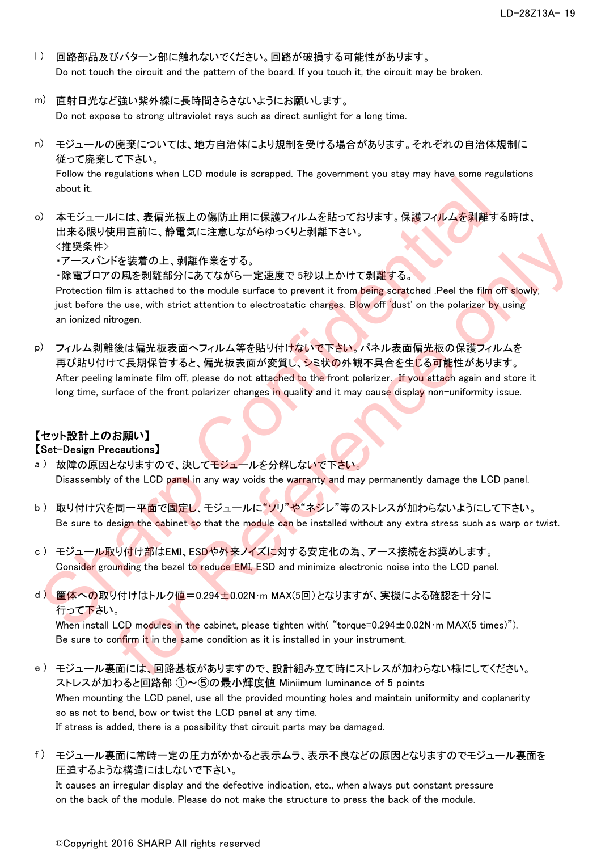- l ) 回路部品及びパターン部に触れないでください。回路が破損する可能性があります。 Do not touch the circuit and the pattern of the board. If you touch it, the circuit may be broken.
- m) 直射日光など強い紫外線に長時間さらさないようにお願いします。 Do not expose to strong ultraviolet rays such as direct sunlight for a long time.
- n) モジュールの廃棄については、地方自治体により規制を受ける場合があります。それぞれの自治体規制に 従って廃棄して下さい。

Follow the regulations when LCD module is scrapped. The government you stay may have some regulations about it.

o) 本モジュールには、表偏光板上の傷防止用に保護フィルムを貼っております。保護フィルムを剥離する時は、 出来る限り使用直前に、静電気に注意しながらゆっくりと剥離下さい。 <推奨条件>

・アースバンドを装着の上、剥離作業をする。

・除電ブロアの風を剥離部分にあてながら一定速度で 5秒以上かけて剥離する。

Protection film is attached to the module surface to prevent it from being scratched .Peel the film off slowly, just before the use, with strict attention to electrostatic charges. Blow off 'dust' on the polarizer by using an ionized nitrogen.

p) フィルム剥離後は偏光板表面へフィルム等を貼り付けないで下さい。パネル表面偏光板の保護フィルムを 再び貼り付けて長期保管すると、偏光板表面が変質し、シミ状の外観不具合を生じる可能性があります。 After peeling laminate film off, please do not attached to the front polarizer. If you attach again and store it long time, surface of the front polarizer changes in quality and it may cause display non-uniformity issue. "should be the state of the form points of the model of the system in the system of the system of the system of the system of the system of the system of the system of the system of the system of the system of the syste バル国がに、新島Alle 作業をする。<br>
イを登場の上、制制作業をする。<br>
<br>
<br>
使用には、For Reference only シャンにexperiment from Being scratched Peal the film off slowly.<br>
<br>
(後は備光板表面へフィルム等を貼り付けないで下さい。パネル表面備光板の保護フィルムを<br>
interest white state attention to electr

## 【セット設計上のお願い】

#### 【Set-Design Precautions】

- a) 故障の原因となりますので、決してモジュールを分解しないで下さい。 Disassembly of the LCD panel in any way voids the warranty and may permanently damage the LCD panel.
- b ) 取り付け穴を同一平面で<mark>固定し</mark>、モジュールに"ソリ"や"ネジレ"等のストレスが加わらないようにして下さい。 Be sure to design the cabinet so that the module can be installed without any extra stress such as warp or twist.
- c ) モジュール取り付け部はEMI、ESDや外来ノイズに対する安定化の為、アース接続をお奨めします。 Consider grounding the bezel to reduce EMI, ESD and minimize electronic noise into the LCD panel.
- d ) 筐体への取り付けはトルク値=0.294±0.02N・m MAX(5回)となりますが、実機による確認を十分に 行って下さい。

When install LCD modules in the cabinet, please tighten with( "torque=0.294 $\pm$ 0.02N·m MAX(5 times)"). Be sure to confirm it in the same condition as it is installed in your instrument.

- e ) モジュール裏面には、回路基板がありますので、設計組み立て時にストレスが加わらない様にしてください。 ストレスが加わると回路部 ①~⑤の最小輝度値 Miniimum luminance of 5 points When mounting the LCD panel, use all the provided mounting holes and maintain uniformity and coplanarity so as not to bend, bow or twist the LCD panel at any time. If stress is added, there is a possibility that circuit parts may be damaged.
- f ) モジュール裏面に常時一定の圧力がかかると表示ムラ、表示不良などの原因となりますのでモジュール裏面を 圧迫するような構造にはしないで下さい。

It causes an irregular display and the defective indication, etc., when always put constant pressure on the back of the module. Please do not make the structure to press the back of the module.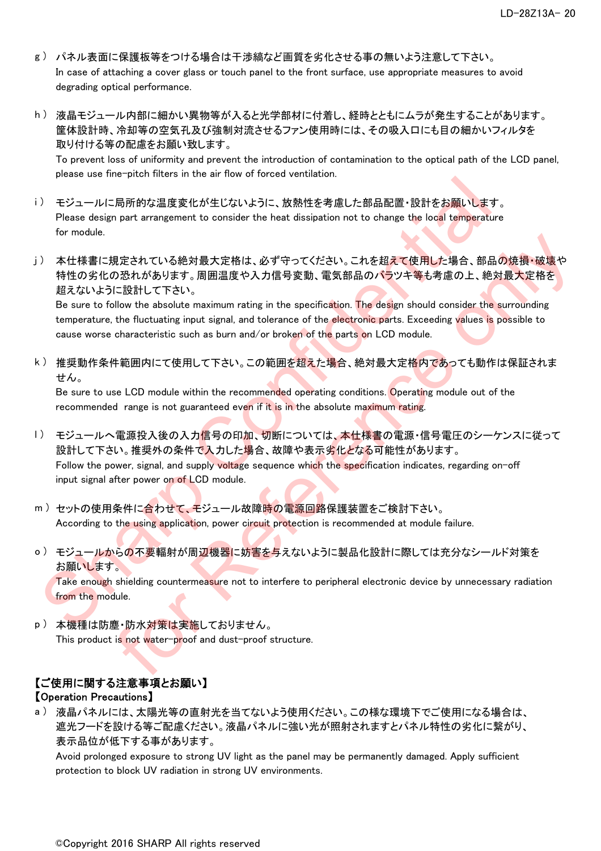- g ) パネル表面に保護板等をつける場合は干渉縞など画質を劣化させる事の無いよう注意して下さい。 In case of attaching a cover glass or touch panel to the front surface, use appropriate measures to avoid degrading optical performance.
- h ) 液晶モジュール内部に細かい異物等が入ると光学部材に付着し、経時とともにムラが発生することがあります。 筐体設計時、冷却等の空気孔及び強制対流させるファン使用時には、その吸入口にも目の細かいフィルタを 取り付ける等の配慮をお願い致します。 To prevent loss of uniformity and prevent the introduction of contamination to the optical path of the LCD panel,

please use fine-pitch filters in the air flow of forced ventilation.

- i) モジュールに局所的な温度変化が生じないように、放熱性を考慮した部品配置・設計をお願いします。 Please design part arrangement to consider the heat dissipation not to change the local temperature for module.
- j ) 本仕様書に規定されている絶対最大定格は、必ず守ってください。これを超えて使用した場合、部品の焼損・破壊や 特性の劣化の恐れがあります。周囲温度や入力信号変動、電気部品のバラツキ等も考慮の上、絶対最大定格を 超えないように設計して下さい。

Be sure to follow the absolute maximum rating in the specification. The design should consider the surrounding temperature, the fluctuating input signal, and tolerance of the electronic parts. Exceeding values is possible to cause worse characteristic such as burn and/or broken of the parts on LCD module.

k ) 推奨動作条件範囲内にて使用して下さい。この範囲を超えた場合、絶対最大定格内であっても動作は保証されま せん。

Be sure to use LCD module within the recommended operating conditions. Operating module out of the recommended range is not guaranteed even if it is in the absolute maximum rating.

- l ) モジュールへ電源投入後の入力<mark>信号の印加、切断については、本仕様書</mark>の電源・信号電圧のシーケンスに従って 設計して下さい。推奨外の条件で入力した場合、故障や表示劣化となる可能性があります。 Follow the power, signal, and supply voltage sequence which the specification indicates, regarding on-off input signal after power on of LCD module. Processes and Principle The Confidential Sharp Confidential Sharp Confidential Sharp Confidential Sharp Confidential Sharp Confidential Sharp Confidential Sharp Confidential Sharp Confidential Sharp Confidential Sharp Co 現定されている絶対最大定格は、必ず守ってください。これを担えて使用した場合、部品の焼損・破壊や<br>の恐れがあります。周囲温度や入力信号変動、電気部品のパラツキ等も考慮の上、絶対最大定格を<br>CESS計して下さい。<br>CESS計して下さい。<br>HOME the absolute maximum rating in the specification. The design should consider the surrounding<br>the w
- m ) セットの使用条件に合わせて、モジュール故障時の電源回路保護装置をご検討下さい。 According to the using application, power circuit protection is recommended at module failure.
- <u>o )モジュールからの不要輻射が周辺機器に妨害を与えないように製品化設計に際しては充分なシールド対策を</u> お願いします。

Take enough shielding countermeasure not to interfere to peripheral electronic device by unnecessary radiation from the module.

p)本機種は防塵・防水対策は実施しておりません。 This product is not water-proof and dust-proof structure.

### 【ご使用に関する注意事項とお願い】

#### 【Operation Precautions】

a ) 液晶パネルには、太陽光等の直射光を当てないよう使用ください。この様な環境下でご使用になる場合は、 遮光フードを設ける等ご配慮ください。液晶パネルに強い光が照射されますとパネル特性の劣化に繋がり、 表示品位が低下する事があります。

Avoid prolonged exposure to strong UV light as the panel may be permanently damaged. Apply sufficient protection to block UV radiation in strong UV environments.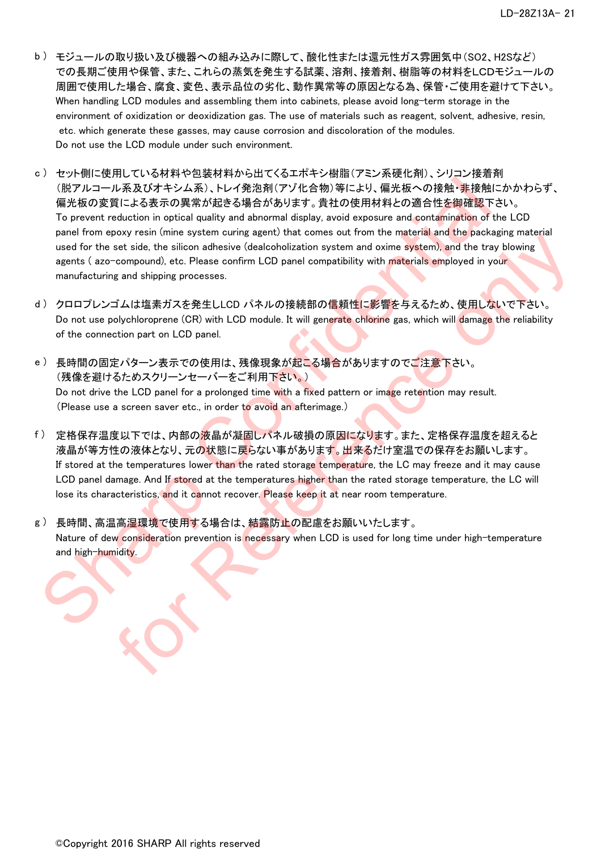- b ) モジュールの取り扱い及び機器への組み込みに際して、酸化性または還元性ガス雰囲気中(SO2、H2Sなど) での長期ご使用や保管、また、これらの蒸気を発生する試薬、溶剤、接着剤、樹脂等の材料をLCDモジュールの 周囲で使用した場合、腐食、変色、表示品位の劣化、動作異常等の原因となる為、保管・ご使用を避けて下さい。 When handling LCD modules and assembling them into cabinets, please avoid long-term storage in the environment of oxidization or deoxidization gas. The use of materials such as reagent, solvent, adhesive, resin, etc. which generate these gasses, may cause corrosion and discoloration of the modules. Do not use the LCD module under such environment.
- c ) セット側に使用している材料や包装材料から出てくるエポキシ樹脂(アミン系硬化剤)、シリコン接着剤 (脱アルコール系及びオキシム系)、トレイ発泡剤(アゾ化合物)等により、偏光板への接触・非接触にかかわらず、 偏光板の変質による表示の異常が起きる場合があります。貴社の使用材料との適合性を御確認下さい。 To prevent reduction in optical quality and abnormal display, avoid exposure and contamination of the LCD panel from epoxy resin (mine system curing agent) that comes out from the material and the packaging material used for the set side, the silicon adhesive (dealcoholization system and oxime system), and the tray blowing agents (azo-compound), etc. Please confirm LCD panel compatibility with materials employed in your manufacturing and shipping processes. "In The Law of the Confidential Confidential Confidential Confidential Confidential Confidential Confidential Confidential Confidential Confidential Confidential Confidential Confidential Confidential Confidential Confi
- d )クロロプレンゴムは塩素ガスを発生しLCD パネルの接続部の信頼性に影響を与えるため、使用しないで下さい。 Do not use polychloroprene (CR) with LCD module. It will generate chlorine gas, which will damage the reliability of the connection part on LCD panel.
- e )長時間の固定パターン表示での使用は、残像現象が起こる場合がありますのでご注意下さい。 (残像を避けるためスクリーンセーバーをご利用下さい。) Do not drive the LCD panel for a prolonged time with a fixed pattern or image retention may result. (Please use a screen saver etc., in order to avoid an afterimage.)
- f ) 定格保存温度以下では、内部の液晶が凝固しパネル破損の原因になります。また、定格保存温度を超えると 液晶が等方性の液体となり、元の状態に戻らない事があります。出来るだけ室温での保存をお願いします。 If stored at the temperatures lower than the rated storage temperature, the LC may freeze and it may cause LCD panel damage. And If stored at the temperatures higher than the rated storage temperature, the LC will lose its characteristics, and it cannot recover. Please keep it at near room temperature. posyron (delay) training agent of the temperature of the temperature of the silecton adverse only in the temperature of the silecton adverse only in CD panel compared in the temperature only at the temperature of the sil
- g ) 長時間、高温高湿環境で使用する場合は、結露防止の配慮をお願いいたします。 Nature of dew consideration prevention is necessary when LCD is used for long time under high-temperature and high-humidity.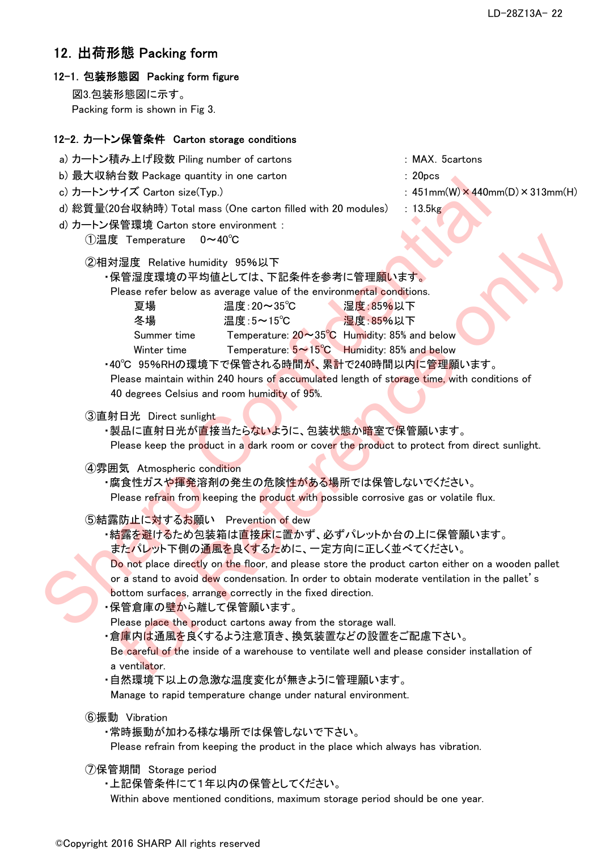### 12.出荷形態 Packing form

#### 12-1.包装形態図 Packing form figure

図3.包装形態図に示す。 Packing form is shown in Fig 3.

#### 12-2.カートン保管条件 Carton storage conditions

- a) カートン積み上げ段数 Piling number of cartons : MAX.5cartons
- b) 最大収納台数 Package quantity in one carton : 20pcs
- 
- d) 総質量(20台収納時) Total mass (One carton filled with 20 modules) : 13.5kg
- d) カートン保管環境 Carton store environment :
	- ①温度 Temperature 0~40℃
	- ②相対湿度 Relative humidity 95%以下
		- ・保管湿度環境の平均値としては、下記条件を参考に管理願います。

| D) 取入牧州日数 Fackage quantity in one carton                      |                                                                                       |                                                                                                   |
|---------------------------------------------------------------|---------------------------------------------------------------------------------------|---------------------------------------------------------------------------------------------------|
| c) カートンサイズ Carton size(Typ.)                                  |                                                                                       | : $451mm(W) \times 440mm(D) \times 313mm(H)$                                                      |
| d) 総質量(20台収納時) Total mass (One carton filled with 20 modules) |                                                                                       | $: 13.5$ kg                                                                                       |
| d) カートン保管環境 Carton store environment :                        |                                                                                       |                                                                                                   |
| ①温度 Temperature<br>$0 \sim 40^{\circ}$ C                      |                                                                                       |                                                                                                   |
|                                                               |                                                                                       |                                                                                                   |
| ②相対湿度 Relative humidity 95%以下                                 |                                                                                       |                                                                                                   |
|                                                               | ・保管湿度環境の平均値としては、下記条件を参考に管理願います。                                                       |                                                                                                   |
|                                                               | Please refer below as average value of the environmental conditions.                  |                                                                                                   |
| 夏場                                                            | 温度: 20~35℃                                                                            | 湿度:85%以下                                                                                          |
| 冬場                                                            | 温度:5~15℃                                                                              | 湿度: 85%以下                                                                                         |
| Summer time                                                   | Temperature: $20 \sim 35^{\circ}$ C Humidity: 85% and below                           |                                                                                                   |
| Winter time                                                   | Temperature: $5 \sim 15^{\circ}$ C Humidity: 85% and below                            |                                                                                                   |
|                                                               | ・40℃ 95%RHの環境下で保管される時間が、累計で240時間以内に管理願います。                                            |                                                                                                   |
|                                                               |                                                                                       | Please maintain within 240 hours of accumulated length of storage time, with conditions of        |
| 40 degrees Celsius and room humidity of 95%.                  |                                                                                       |                                                                                                   |
| ③直射日光 Direct sunlight                                         |                                                                                       |                                                                                                   |
|                                                               | ・製品に直射日光が直接当たら <mark>ないよ</mark> うに、包装状態か暗室で保管願います。                                    |                                                                                                   |
|                                                               |                                                                                       | Please keep the product in a dark room or cover the product to protect from direct sunlight.      |
|                                                               |                                                                                       |                                                                                                   |
| 4雰囲気 Atmospheric condition                                    | ・腐食性ガスや <mark>揮発</mark> 溶剤の発生の危険性がある場所では保管しないでください。                                   |                                                                                                   |
|                                                               | Please refrain from keeping the product with possible corrosive gas or volatile flux. |                                                                                                   |
|                                                               |                                                                                       |                                                                                                   |
| 5結露防止に対するお願い Prevention of dew                                |                                                                                       |                                                                                                   |
|                                                               | ・結露を避けるため包装箱は直接床に置かず、必ずパレットか台の上に保管願います。                                               |                                                                                                   |
|                                                               | またパレット下側の通風を良くするために、一定方向に正しく並べてください。                                                  |                                                                                                   |
|                                                               |                                                                                       | Do not place directly on the floor, and please store the product carton either on a wooden pallet |
|                                                               |                                                                                       | or a stand to avoid dew condensation. In order to obtain moderate ventilation in the pallet's     |
|                                                               | bottom surfaces, arrange correctly in the fixed direction.                            |                                                                                                   |
| ・保管倉庫の壁から離して保管願います。                                           |                                                                                       |                                                                                                   |
|                                                               | Please place the product cartons away from the storage wall.                          |                                                                                                   |
|                                                               | ・倉庫内は通風を良くするよう注意頂き、換気装置などの設置をご配慮下さい。                                                  |                                                                                                   |
|                                                               |                                                                                       | Be careful of the inside of a warehouse to ventilate well and please consider installation of     |
| a ventilator.                                                 |                                                                                       |                                                                                                   |
|                                                               | ・自然環境下以上の急激な温度変化が無きように管理願います。                                                         |                                                                                                   |
|                                                               |                                                                                       |                                                                                                   |

```
⑤結露防止に対するお願い  Prevention of dew
```
Manage to rapid temperature change under natural environment.

- ⑥振動 Vibration
	- ・常時振動が加わる様な場所では保管しないで下さい。

Please refrain from keeping the product in the place which always has vibration.

- ⑦保管期間 Storage period
	- ・上記保管条件にて1年以内の保管としてください。

Within above mentioned conditions, maximum storage period should be one year.

- 
- 
- c) カートンサイズ Carton size(Typ.)  $\qquad \qquad : 451 \text{mm(W)} \times 440 \text{mm(D)} \times 313 \text{mm(H)}$ 
	-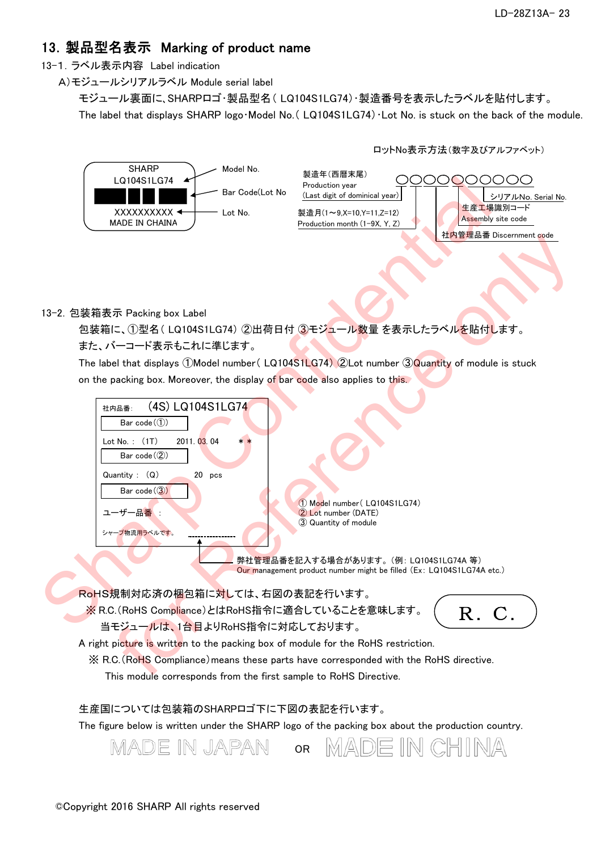### 13.製品型名表示 Marking of product name

13-1.ラベル表示内容 Label indication

A)モジュールシリアルラベル Module serial label

モジュール裏面に、SHARPロゴ・製品型名( LQ104S1LG74)・製造番号を表示したラベルを貼付します。

The label that displays SHARP logo Model No. (LQ104S1LG74) Lot No. is stuck on the back of the module.





#### 13-2.包装箱表示 Packing box Label

また、バーコード表示もこれに準じます。 包装箱に、①型名( LQ104S1LG74) ②出荷日付 ③モジュール数量 を表示したラベルを貼付します。

The label that displays ①Model number( LQ104S1LG74) ②Lot number ③Quantity of module is stuck on the packing box. Moreover, the display of bar code also applies to this.



Our management product number might be filled (Ex: LQ104S1LG74A etc.)

RoHS規制対応済の梱包箱に対しては、右図の表記を行います。

※ R.C.(RoHS Compliance)とはRoHS指令に適合していることを意味します。

当モジュールは、1台目よりRoHS指令に対応しております。



A right picture is written to the packing box of module for the RoHS restriction.

※ R.C.(RoHS Compliance)means these parts have corresponded with the RoHS directive.

This module corresponds from the first sample to RoHS Directive.

#### 生産国については包装箱のSHARPロゴ下に下図の表記を行います。

The figure below is written under the SHARP logo of the packing box about the production country.

MADE IN JAPAN ADE IN CHINA OR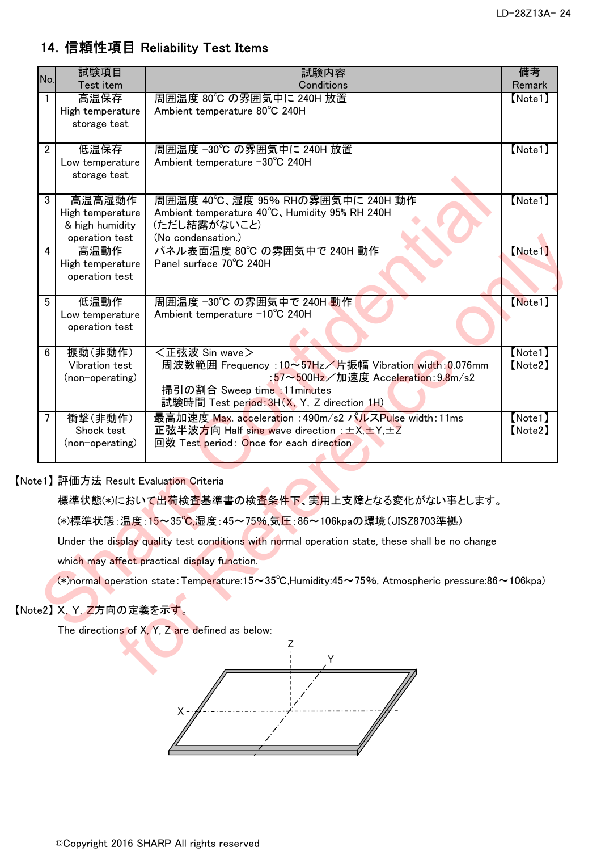### 14.信頼性項目 Reliability Test Items

| No.             | 試験項目                                               | 試験内容                                                                                                | 備考                 |
|-----------------|----------------------------------------------------|-----------------------------------------------------------------------------------------------------|--------------------|
| $\mathbf{1}$    | Test item<br>高温保存                                  | Conditions<br>周囲温度 80℃ の雰囲気中に 240H 放置                                                               | Remark<br>[Note1]  |
|                 | High temperature                                   | Ambient temperature 80°C 240H                                                                       |                    |
|                 | storage test                                       |                                                                                                     |                    |
| $\overline{2}$  | 低温保存                                               | 周囲温度 -30℃ の雰囲気中に 240H 放置                                                                            | [Note1]            |
|                 | Low temperature                                    | Ambient temperature −30°C 240H                                                                      |                    |
|                 | storage test                                       |                                                                                                     |                    |
| 3               | 高温高湿動作                                             | 周囲温度 40℃、湿度 95% RHの雰囲気中に 240H 動作                                                                    | [Note1]            |
|                 | High temperature                                   | Ambient temperature 40°C, Humidity 95% RH 240H                                                      |                    |
|                 | & high humidity                                    | (ただし結露がないこと)<br>(No condensation.)                                                                  |                    |
| $\overline{4}$  | operation test<br>高温動作                             | パネル表面温度 80℃ の雰囲気中で 240H 動作                                                                          | [Note1]            |
|                 | High temperature                                   | Panel surface 70°C 240H                                                                             |                    |
|                 | operation test                                     |                                                                                                     |                    |
| $5\phantom{.0}$ | 低温動作                                               | 周囲温度 -30℃ の雰囲気中で 240H 動作                                                                            | [Note1]            |
|                 | Low temperature                                    | Ambient temperature −10°C 240H                                                                      |                    |
|                 | operation test                                     |                                                                                                     |                    |
|                 |                                                    |                                                                                                     |                    |
| 6               | 振動(非動作)<br>Vibration test                          | <正弦波 Sin wave><br>周波数範囲 Frequency : 10~57Hz/片振幅 Vibration width: 0.076mm                            | [Note1]<br>[Note2] |
|                 | (non-operating)                                    | :57~500Hz/加速度 Acceleration: 9.8m/s2                                                                 |                    |
|                 |                                                    | 掃引の割合 Sweep time :11minutes                                                                         |                    |
|                 |                                                    | 試験時間 Test period: 3H(X, Y, Z direction 1H)                                                          |                    |
| $\overline{7}$  | 衝擊(非動作)                                            | 最高加速度 Max. acceleration : 490m/s2 パルスPulse width: 11ms                                              | [Note1]            |
|                 | Shock test                                         | 正弦半波方向 Half sine wave direction : ±X, ±Y, ±Z                                                        | [Note2]            |
|                 | (non-operating)                                    | 回数 Test period: Once for each direction                                                             |                    |
|                 |                                                    |                                                                                                     |                    |
|                 | te1】評価方法 Result Evaluati <mark>on C</mark> riteria |                                                                                                     |                    |
|                 |                                                    | 標準状態(*)において出荷検査基準書の検査条件下、実用上支障となる変化がない事とします。                                                        |                    |
|                 |                                                    | (*)標準状態∶温度∶15~35℃,湿度∶45~75%,気圧∶86~106kpaの環境(JISZ8703準拠)                                             |                    |
|                 |                                                    | Under the display quality test conditions with normal operation state, these shall be no change     |                    |
|                 |                                                    | which may affect practical display function.                                                        |                    |
|                 |                                                    | (*)normal operation state: Temperature: 15~35°C, Humidity: 45~75%, Atmospheric pressure: 86~106kpa) |                    |
|                 |                                                    |                                                                                                     |                    |
|                 | te2】X, Y, <mark>Z</mark> 方向の定義を示す <mark>。</mark>   |                                                                                                     |                    |
|                 |                                                    | The directions of X, Y, Z are defined as below:                                                     |                    |
|                 |                                                    | Υ                                                                                                   |                    |
|                 |                                                    |                                                                                                     |                    |
|                 |                                                    |                                                                                                     |                    |

#### 【Note1】 評価方法 Result Evaluation Criteria

### 【Note2】 X, Y, Z方向の定義を示す。